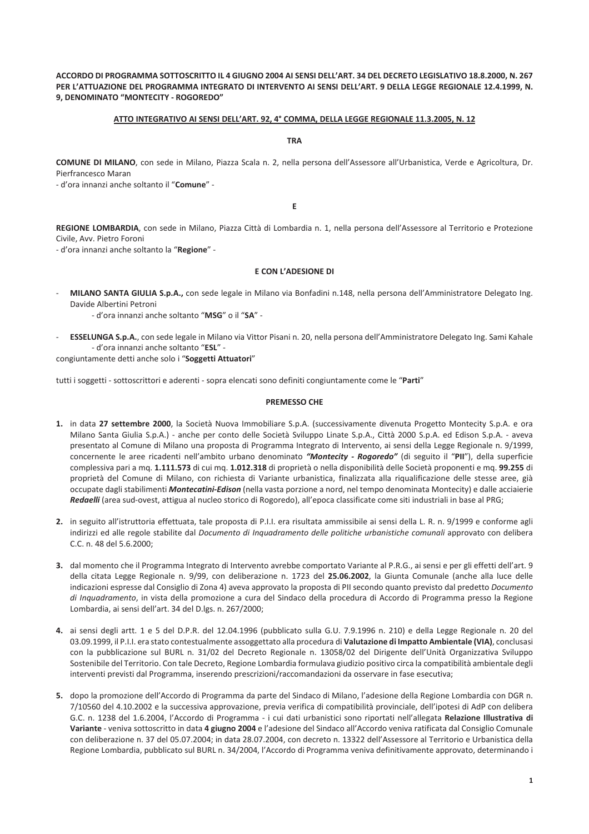ACCORDO DI PROGRAMMA SOTTOSCRITTO IL 4 GIUGNO 2004 AI SENSI DELL'ART. 34 DEL DECRETO LEGISLATIVO 18.8.2000. N. 267 PER L'ATTUAZIONE DEL PROGRAMMA INTEGRATO DI INTERVENTO AI SENSI DELL'ART. 9 DELLA LEGGE REGIONALE 12.4.1999, N. 9, DENOMINATO "MONTECITY - ROGOREDO"

### ATTO INTEGRATIVO AI SENSI DELL'ART. 92, 4° COMMA, DELLA LEGGE REGIONALE 11.3.2005, N. 12

#### **TRA**

COMUNE DI MILANO, con sede in Milano, Piazza Scala n. 2, nella persona dell'Assessore all'Urbanistica, Verde e Agricoltura, Dr. Pierfrancesco Maran

- d'ora innanzi anche soltanto il "Comune" -

E.

REGIONE LOMBARDIA, con sede in Milano, Piazza Città di Lombardia n. 1, nella persona dell'Assessore al Territorio e Protezione Civile, Avv. Pietro Foroni

- d'ora innanzi anche soltanto la "Regione" -

### **E CON L'ADESIONE DI**

MILANO SANTA GIULIA S.p.A., con sede legale in Milano via Bonfadini n.148, nella persona dell'Amministratore Delegato Ing. Davide Albertini Petroni

- d'ora innanzi anche soltanto "MSG" o il "SA" -

ESSELUNGA S.p.A., con sede legale in Milano via Vittor Pisani n. 20, nella persona dell'Amministratore Delegato Ing. Sami Kahale - d'ora innanzi anche soltanto "ESL" -

congiuntamente detti anche solo i "Soggetti Attuatori"

tutti i soggetti - sottoscrittori e aderenti - sopra elencati sono definiti congiuntamente come le "Parti"

#### **PREMESSO CHE**

- 1. in data 27 settembre 2000, la Società Nuova Immobiliare S.p.A. (successivamente divenuta Progetto Montecity S.p.A. e ora Milano Santa Giulia S.p.A.) - anche per conto delle Società Sviluppo Linate S.p.A., Città 2000 S.p.A. ed Edison S.p.A. - aveva presentato al Comune di Milano una proposta di Programma Integrato di Intervento, ai sensi della Legge Regionale n. 9/1999, concernente le aree ricadenti nell'ambito urbano denominato "Montecity - Rogoredo" (di seguito il "PII"), della superficie complessiva pari a mq. 1.111.573 di cui mq. 1.012.318 di proprietà o nella disponibilità delle Società proponenti e mq. 99.255 di proprietà del Comune di Milano, con richiesta di Variante urbanistica, finalizzata alla riqualificazione delle stesse aree, già occupate dagli stabilimenti Montecatini-Edison (nella vasta porzione a nord, nel tempo denominata Montecity) e dalle acciaierie Redaelli (area sud-ovest, attigua al nucleo storico di Rogoredo), all'epoca classificate come siti industriali in base al PRG;
- 2. in seguito all'istruttoria effettuata, tale proposta di P.I.I. era risultata ammissibile ai sensi della L. R. n. 9/1999 e conforme agli indirizzi ed alle regole stabilite dal Documento di Inquadramento delle politiche urbanistiche comunali approvato con delibera C.C. n. 48 del 5.6.2000;
- 3. dal momento che il Programma Integrato di Intervento avrebbe comportato Variante al P.R.G., ai sensi e per gli effetti dell'art. 9 della citata Legge Regionale n. 9/99, con deliberazione n. 1723 del 25.06.2002, la Giunta Comunale (anche alla luce delle indicazioni espresse dal Consiglio di Zona 4) aveva approvato la proposta di PII secondo quanto previsto dal predetto Documento di Inguadramento, in vista della promozione a cura del Sindaco della procedura di Accordo di Programma presso la Regione Lombardia, ai sensi dell'art. 34 del D.lgs. n. 267/2000;
- 4. ai sensi degli artt. 1 e 5 del D.P.R. del 12.04.1996 (pubblicato sulla G.U. 7.9.1996 n. 210) e della Legge Regionale n. 20 del 03.09.1999, il P.I.I. era stato contestualmente assoggettato alla procedura di Valutazione di Impatto Ambientale (VIA), conclusasi con la pubblicazione sul BURL n. 31/02 del Decreto Regionale n. 13058/02 del Dirigente dell'Unità Organizzativa Sviluppo Sostenibile del Territorio. Con tale Decreto, Regione Lombardia formulava giudizio positivo circa la compatibilità ambientale degli interventi previsti dal Programma, inserendo prescrizioni/raccomandazioni da osservare in fase esecutiva;
- 5. dopo la promozione dell'Accordo di Programma da parte del Sindaco di Milano, l'adesione della Regione Lombardia con DGR n. 7/10560 del 4.10.2002 e la successiva approvazione, previa verifica di compatibilità provinciale, dell'ipotesi di AdP con delibera G.C. n. 1238 del 1.6.2004. l'Accordo di Programma - i cui dati urbanistici sono riportati nell'allegata Relazione Illustrativa di Variante - veniva sottoscritto in data 4 giugno 2004 e l'adesione del Sindaco all'Accordo veniva ratificata dal Consiglio Comunale con deliberazione n. 37 del 05.07.2004; in data 28.07.2004, con decreto n. 13322 dell'Assessore al Territorio e Urbanistica della Regione Lombardia, pubblicato sul BURL n. 34/2004, l'Accordo di Programma veniva definitivamente approvato, determinando i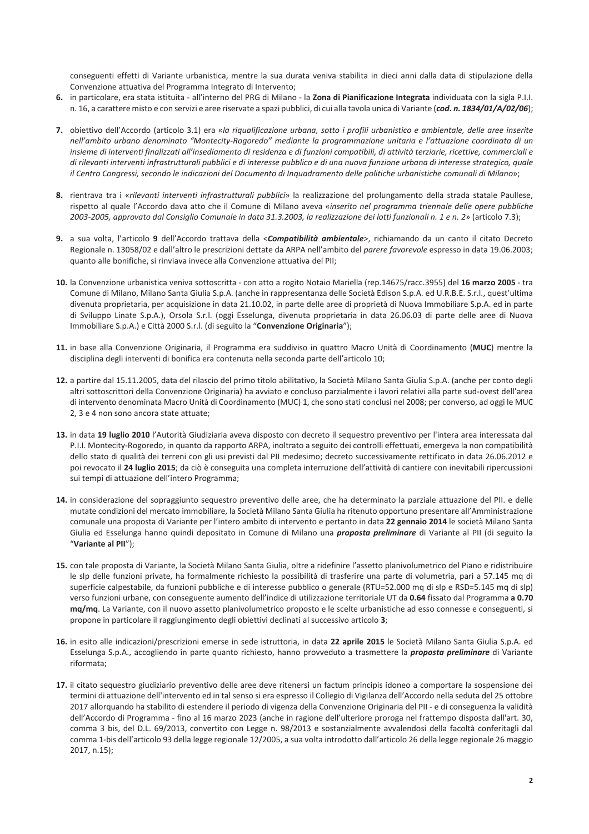conseguenti effetti di Variante urbanistica, mentre la sua durata veniva stabilita in dieci anni dalla data di stipulazione della Convenzione attuativa del Programma Integrato di Intervento;

- 6. in particolare, era stata istituita all'interno del PRG di Milano la Zona di Pianificazione Integrata individuata con la sigla P.I.I. n. 16, a carattere misto e con servizi e aree riservate a spazi pubblici, di cui alla tavola unica di Variante (cod. n. 1834/01/A/02/06);
- 7. obiettivo dell'Accordo (articolo 3.1) era «la riqualificazione urbana, sotto i profili urbanistico e ambientale, delle aree inserite nell'ambito urbano denominato "Montecity-Rogoredo" mediante la programmazione unitaria e l'attuazione coordinata di un insieme di interventi finalizzati all'insediamento di residenza e di funzioni compatibili, di attività terziarie, ricettive, commerciali e di rilevanti interventi infrastrutturali pubblici e di interesse pubblico e di una nuova funzione urbana di interesse strategico, quale il Centro Congressi, secondo le indicazioni del Documento di Inquadramento delle politiche urbanistiche comunali di Milano»;
- 8. rientrava tra i «rilevanti interventi infrastrutturali pubblici» la realizzazione del prolungamento della strada statale Paullese, rispetto al quale l'Accordo dava atto che il Comune di Milano aveva «inserito nel programma triennale delle opere pubbliche 2003-2005, approvato dal Consialio Comunale in data 31.3.2003, la realizzazione dei lotti funzionali n. 1 e n. 2» (articolo 7.3):
- 9. a sua volta, l'articolo 9 dell'Accordo trattava della <Compatibilità ambientale>, richiamando da un canto il citato Decreto Regionale n. 13058/02 e dall'altro le prescrizioni dettate da ARPA nell'ambito del parere favorevole espresso in data 19.06.2003; quanto alle bonifiche, si rinviava invece alla Convenzione attuativa del PII;
- 10. la Convenzione urbanistica veniva sottoscritta con atto a rogito Notaio Mariella (rep.14675/racc.3955) del 16 marzo 2005 tra Comune di Milano, Milano Santa Giulia S.p.A. (anche in rappresentanza delle Società Edison S.p.A. ed U.R.B.E. S.r.l., quest'ultima divenuta proprietaria, per acquisizione in data 21.10.02, in parte delle aree di proprietà di Nuova Immobiliare S.p.A. ed in parte di Sviluppo Linate S.p.A.), Orsola S.r.l. (oggi Esselunga, divenuta proprietaria in data 26.06.03 di parte delle aree di Nuova Immobiliare S.p.A.) e Città 2000 S.r.l. (di seguito la "Convenzione Originaria");
- 11. in base alla Convenzione Originaria, il Programma era suddiviso in quattro Macro Unità di Coordinamento (MUC) mentre la disciplina degli interventi di bonifica era contenuta nella seconda parte dell'articolo 10;
- 12. a partire dal 15.11.2005, data del rilascio del primo titolo abilitativo, la Società Milano Santa Giulia S.p.A. (anche per conto degli altri sottoscrittori della Convenzione Originaria) ha avviato e concluso parzialmente i lavori relativi alla parte sud-ovest dell'area di intervento denominata Macro Unità di Coordinamento (MUC) 1, che sono stati conclusi nel 2008; per converso, ad oggi le MUC 2, 3 e 4 non sono ancora state attuate;
- 13. in data 19 luglio 2010 l'Autorità Giudiziaria aveva disposto con decreto il sequestro preventivo per l'intera area interessata dal P.I.I. Montecity-Rogoredo, in quanto da rapporto ARPA, inoltrato a seguito dei controlli effettuati, emergeva la non compatibilità dello stato di qualità dei terreni con gli usi previsti dal PII medesimo; decreto successivamente rettificato in data 26.06.2012 e poi revocato il 24 luglio 2015; da ciò è conseguita una completa interruzione dell'attività di cantiere con inevitabili ripercussioni sui tempi di attuazione dell'intero Programma;
- 14. in considerazione del sopraggiunto sequestro preventivo delle aree, che ha determinato la parziale attuazione del PII. e delle mutate condizioni del mercato immobiliare, la Società Milano Santa Giulia ha ritenuto opportuno presentare all'Amministrazione comunale una proposta di Variante per l'intero ambito di intervento e pertanto in data 22 gennaio 2014 le società Milano Santa Giulia ed Esselunga hanno quindi depositato in Comune di Milano una *proposta preliminare* di Variante al PII (di seguito la "Variante al PII");
- 15. con tale proposta di Variante, la Società Milano Santa Giulia, oltre a ridefinire l'assetto planivolumetrico del Piano e ridistribuire le sip delle funzioni private, ha formalmente richiesto la possibilità di trasferire una parte di volumetria, pari a 57.145 mg di superficie calpestabile, da funzioni pubbliche e di interesse pubblico o generale (RTU=52.000 mq di slp e RSD=5.145 mq di slp) verso funzioni urbane, con conseguente aumento dell'indice di utilizzazione territoriale UT da 0.64 fissato dal Programma a 0.70 mg/mg. La Variante, con il nuovo assetto planivolumetrico proposto e le scelte urbanistiche ad esso connesse e conseguenti, si propone in particolare il raggiungimento degli obiettivi declinati al successivo articolo 3;
- 16. in esito alle indicazioni/prescrizioni emerse in sede istruttoria, in data 22 aprile 2015 le Società Milano Santa Giulia S.p.A. ed Esselunga S.p.A., accogliendo in parte quanto richiesto, hanno provveduto a trasmettere la *proposta preliminare* di Variante riformata:
- 17. il citato sequestro giudiziario preventivo delle aree deve ritenersi un factum principis idoneo a comportare la sospensione dei termini di attuazione dell'intervento ed in tal senso si era espresso il Collegio di Vigilanza dell'Accordo nella seduta del 25 ottobre 2017 allorquando ha stabilito di estendere il periodo di vigenza della Convenzione Originaria del PII - e di conseguenza la validità dell'Accordo di Programma - fino al 16 marzo 2023 (anche in ragione dell'ulteriore proroga nel frattempo disposta dall'art. 30, comma 3 bis, del D.L. 69/2013, convertito con Legge n. 98/2013 e sostanzialmente avvalendosi della facoltà conferitagli dal comma 1-bis dell'articolo 93 della legge regionale 12/2005, a sua volta introdotto dall'articolo 26 della legge regionale 26 maggio 2017, n.15);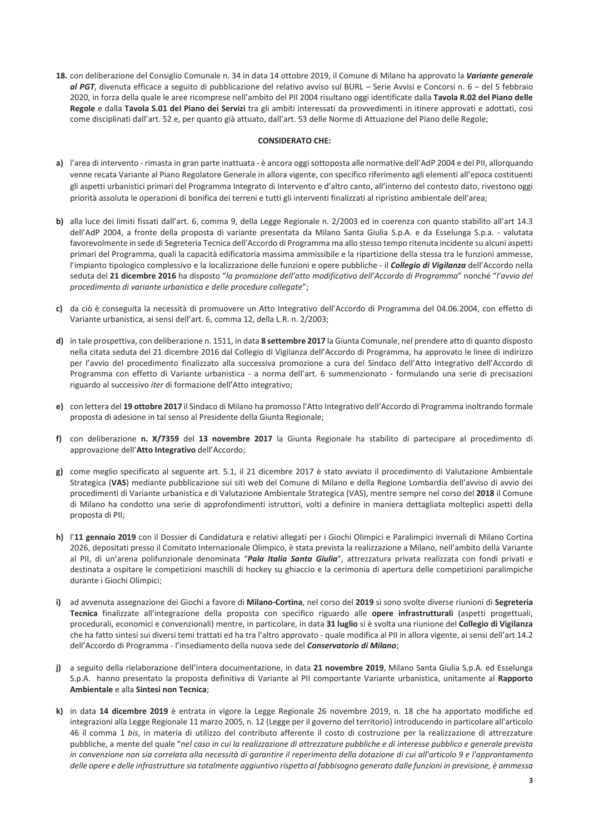18. con deliberazione del Consiglio Comunale n. 34 in data 14 ottobre 2019, il Comune di Milano ha approvato la Variante generale al PGT, divenuta efficace a seguito di pubblicazione del relativo avviso sul BURL - Serie Avvisi e Concorsi n. 6 - del 5 febbraio 2020, in forza della quale le aree ricomprese nell'ambito del PII 2004 risultano oggi identificate dalla Tavola R.02 del Piano delle Regole e dalla Tavola S.01 del Piano dei Servizi tra gli ambiti interessati da provvedimenti in itinere approvati e adottati, così come disciplinati dall'art. 52 e, per quanto già attuato, dall'art. 53 delle Norme di Attuazione del Piano delle Regole;

# **CONSIDERATO CHE:**

- a) l'area di intervento rimasta in gran parte inattuata è ancora oggi sottoposta alle normative dell'AdP 2004 e del PII, allorquando venne recata Variante al Piano Regolatore Generale in allora vigente, con specifico riferimento agli elementi all'epoca costituenti gli aspetti urbanistici primari del Programma Integrato di Intervento e d'altro canto, all'interno del contesto dato, rivestono oggi priorità assoluta le operazioni di bonifica dei terreni e tutti gli interventi finalizzati al ripristino ambientale dell'area;
- b) alla luce dei limiti fissati dall'art. 6, comma 9, della Legge Regionale n. 2/2003 ed in coerenza con quanto stabilito all'art 14.3 dell'AdP 2004, a fronte della proposta di variante presentata da Milano Santa Giulia S.p.A. e da Esselunga S.p.a. - valutata favorevolmente in sede di Segreteria Tecnica dell'Accordo di Programma ma allo stesso tempo ritenuta incidente su alcuni aspetti primari del Programma, quali la capacità edificatoria massima ammissibile e la ripartizione della stessa tra le funzioni ammesse, l'impianto tipologico complessivo e la localizzazione delle funzioni e opere pubbliche - il *Collegio di Vigilanza* dell'Accordo nella seduta del 21 dicembre 2016 ha disposto "la promozione dell'atto modificativo dell'Accordo di Programma" nonché "l'avvio del procedimento di variante urbanistica e delle procedure collegate";
- c) da ciò è conseguita la necessità di promuovere un Atto Integrativo dell'Accordo di Programma del 04.06.2004, con effetto di Variante urbanistica, ai sensi dell'art. 6, comma 12, della L.R. n. 2/2003;
- d) in tale prospettiva, con deliberazione n. 1511, in data 8 settembre 2017 la Giunta Comunale, nel prendere atto di quanto disposto nella citata seduta del 21 dicembre 2016 dal Collegio di Vigilanza dell'Accordo di Programma, ha approvato le linee di indirizzo per l'avvio del procedimento finalizzato alla successiva promozione a cura del Sindaco dell'Atto Integrativo dell'Accordo di Programma con effetto di Variante urbanistica - a norma dell'art. 6 summenzionato - formulando una serie di precisazioni riguardo al successivo iter di formazione dell'Atto integrativo;
- e) con lettera del 19 ottobre 2017 il Sindaco di Milano ha promosso l'Atto Integrativo dell'Accordo di Programma inoltrando formale proposta di adesione in tal senso al Presidente della Giunta Regionale;
- f) con deliberazione n. X/7359 del 13 novembre 2017 la Giunta Regionale ha stabilito di partecipare al procedimento di approvazione dell'Atto Integrativo dell'Accordo;
- g) come meglio specificato al seguente art. 5.1, il 21 dicembre 2017 è stato avviato il procedimento di Valutazione Ambientale Strategica (VAS) mediante pubblicazione sui siti web del Comune di Milano e della Regione Lombardia dell'avviso di avvio dei procedimenti di Variante urbanistica e di Valutazione Ambientale Strategica (VAS), mentre sempre nel corso del 2018 il Comune di Milano ha condotto una serie di approfondimenti istruttori, volti a definire in maniera dettagliata molteplici aspetti della proposta di PII;
- h) l'11 gennaio 2019 con il Dossier di Candidatura e relativi allegati per i Giochi Olimpici e Paralimpici invernali di Milano Cortina 2026, depositati presso il Comitato Internazionale Olimpico, è stata prevista la realizzazione a Milano, nell'ambito della Variante al PII, di un'arena polifunzionale denominata "Pala Italia Santa Giulia", attrezzatura privata realizzata con fondi privati e destinata a ospitare le competizioni maschili di hockey su ghiaccio e la cerimonia di apertura delle competizioni paralimpiche durante i Giochi Olimpici;
- i) ad avvenuta assegnazione dei Giochi a favore di Milano-Cortina, nel corso del 2019 si sono svolte diverse riunioni di Segreteria Tecnica finalizzate all'integrazione della proposta con specifico riguardo alle opere infrastrutturali (aspetti progettuali, procedurali, economici e convenzionali) mentre, in particolare, in data 31 luglio si è svolta una riunione del Collegio di Vigilanza che ha fatto sintesi sui diversi temi trattati ed ha tra l'altro approvato - quale modifica al PII in allora vigente, ai sensi dell'art 14.2 dell'Accordo di Programma - l'insediamento della nuova sede del Conservatorio di Milano;
- i) a seguito della rielaborazione dell'intera documentazione, in data 21 novembre 2019, Milano Santa Giulia S.p.A. ed Esselunga S.p.A. hanno presentato la proposta definitiva di Variante al PII comportante Variante urbanistica, unitamente al Rapporto Ambientale e alla Sintesi non Tecnica;
- k) in data 14 dicembre 2019 è entrata in vigore la Legge Regionale 26 novembre 2019, n. 18 che ha apportato modifiche ed integrazioni alla Legge Regionale 11 marzo 2005, n. 12 (Legge per il governo del territorio) introducendo in particolare all'articolo 46 il comma 1 bis, in materia di utilizzo del contributo afferente il costo di costruzione per la realizzazione di attrezzature pubbliche, a mente del quale "nel caso in cui la realizzazione di attrezzature pubbliche e di interesse pubblico e generale prevista in convenzione non sia correlata alla necessità di garantire il reperimento della dotazione di cui all'articolo 9 e l'approntamento delle opere e delle infrastrutture sia totalmente aggiuntivo rispetto al fabbisogno generato dalle funzioni in previsione, è ammessa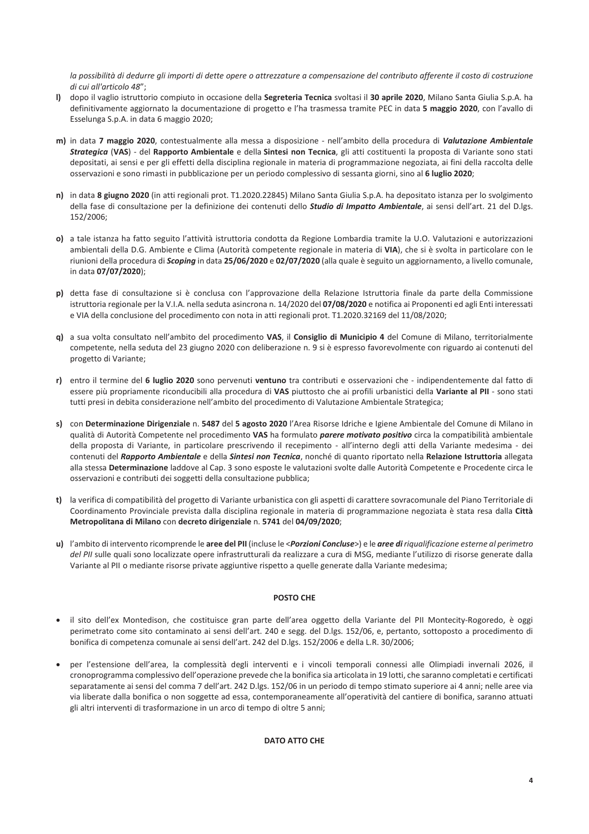la possibilità di dedurre gli importi di dette opere o attrezzature a compensazione del contributo afferente il costo di costruzione  $di$  cui all'articolo 48":

- I) dopo il vaglio istruttorio compiuto in occasione della Segreteria Tecnica svoltasi il 30 aprile 2020, Milano Santa Giulia S.p.A. ha definitivamente aggiornato la documentazione di progetto e l'ha trasmessa tramite PEC in data 5 maggio 2020, con l'avallo di Esselunga S.p.A. in data 6 maggio 2020;
- m) in data 7 maggio 2020, contestualmente alla messa a disposizione nell'ambito della procedura di Valutazione Ambientale Strategica (VAS) - del Rapporto Ambientale e della Sintesi non Tecnica, gli atti costituenti la proposta di Variante sono stati depositati, ai sensi e per gli effetti della disciplina regionale in materia di programmazione negoziata, ai fini della raccolta delle osservazioni e sono rimasti in pubblicazione per un periodo complessivo di sessanta giorni, sino al 6 luglio 2020;
- n) in data 8 giugno 2020 (in atti regionali prot. T1.2020.22845) Milano Santa Giulia S.p.A. ha depositato istanza per lo svolgimento della fase di consultazione per la definizione dei contenuti dello *Studio di Impatto Ambientale*, ai sensi dell'art. 21 del D.lgs. 152/2006:
- o) a tale istanza ha fatto seguito l'attività istruttoria condotta da Regione Lombardia tramite la U.O. Valutazioni e autorizzazioni ambientali della D.G. Ambiente e Clima (Autorità competente regionale in materia di VIA), che si è svolta in particolare con le riunioni della procedura di Scoping in data 25/06/2020 e 02/07/2020 (alla quale è seguito un aggiornamento, a livello comunale, in data 07/07/2020);
- p) detta fase di consultazione si è conclusa con l'approvazione della Relazione Istruttoria finale da parte della Commissione istruttoria regionale per la V.I.A. nella seduta asincrona n. 14/2020 del 07/08/2020 e notifica ai Proponenti ed agli Enti interessati e VIA della conclusione del procedimento con nota in atti regionali prot. T1.2020.32169 del 11/08/2020;
- q) a sua volta consultato nell'ambito del procedimento VAS, il Consiglio di Municipio 4 del Comune di Milano, territorialmente competente, nella seduta del 23 giugno 2020 con deliberazione n. 9 si è espresso favorevolmente con riguardo ai contenuti del progetto di Variante;
- r) entro il termine del 6 luglio 2020 sono pervenuti ventuno tra contributi e osservazioni che indipendentemente dal fatto di essere più propriamente riconducibili alla procedura di VAS piuttosto che ai profili urbanistici della Variante al PII - sono stati tutti presi in debita considerazione nell'ambito del procedimento di Valutazione Ambientale Strategica;
- s) con Determinazione Dirigenziale n. 5487 del 5 agosto 2020 l'Area Risorse Idriche e Igiene Ambientale del Comune di Milano in qualità di Autorità Competente nel procedimento VAS ha formulato parere motivato positivo circa la compatibilità ambientale della proposta di Variante, in particolare prescrivendo il recepimento - all'interno degli atti della Variante medesima - dei contenuti del Rapporto Ambientale e della Sintesi non Tecnica, nonché di quanto riportato nella Relazione Istruttoria allegata alla stessa Determinazione laddove al Cap. 3 sono esposte le valutazioni svolte dalle Autorità Competente e Procedente circa le osservazioni e contributi dei soggetti della consultazione pubblica;
- t) la verifica di compatibilità del progetto di Variante urbanistica con gli aspetti di carattere sovracomunale del Piano Territoriale di Coordinamento Provinciale prevista dalla disciplina regionale in materia di programmazione negoziata è stata resa dalla Città Metropolitana di Milano con decreto dirigenziale n. 5741 del 04/09/2020;
- u) l'ambito di intervento ricomprende le aree del PII (incluse le <Porzioni Concluse>) e le aree di riqualificazione esterne al perimetro del PII sulle quali sono localizzate opere infrastrutturali da realizzare a cura di MSG, mediante l'utilizzo di risorse generate dalla Variante al PII o mediante risorse private aggiuntive rispetto a quelle generate dalla Variante medesima;

# POSTO CHE

- il sito dell'ex Montedison, che costituisce gran parte dell'area oggetto della Variante del PII Montecity-Rogoredo, è oggi perimetrato come sito contaminato ai sensi dell'art. 240 e segg. del D.lgs. 152/06, e, pertanto, sottoposto a procedimento di bonifica di competenza comunale ai sensi dell'art. 242 del D.lgs. 152/2006 e della L.R. 30/2006;
- per l'estensione dell'area, la complessità degli interventi e i vincoli temporali connessi alle Olimpiadi invernali 2026, il cronoprogramma complessivo dell'operazione prevede che la bonifica sia articolata in 19 lotti, che saranno completati e certificati separatamente ai sensi del comma 7 dell'art. 242 D.lgs. 152/06 in un periodo di tempo stimato superiore ai 4 anni; nelle aree via via liberate dalla bonifica o non soggette ad essa, contemporaneamente all'operatività del cantiere di bonifica, saranno attuati gli altri interventi di trasformazione in un arco di tempo di oltre 5 anni;

# **DATO ATTO CHE**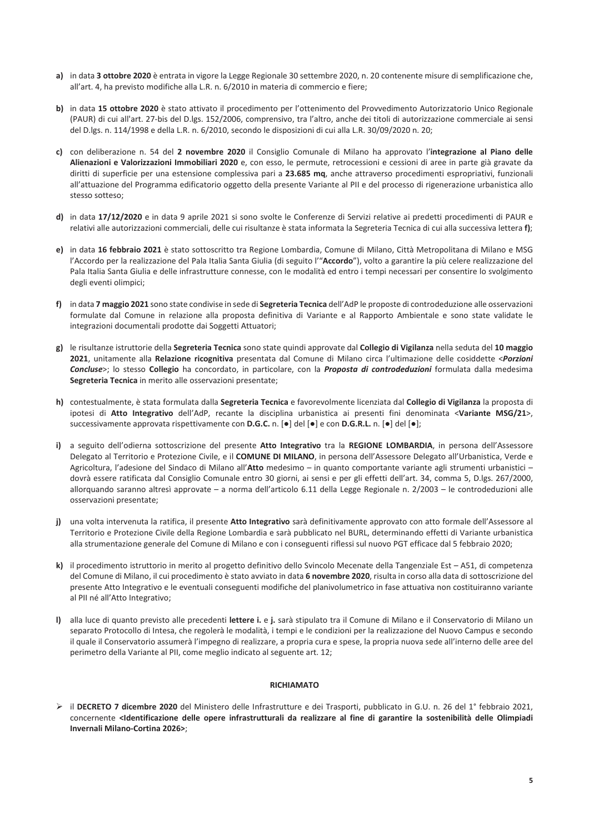- a) in data 3 ottobre 2020 è entrata in vigore la Legge Regionale 30 settembre 2020, n. 20 contenente misure di semplificazione che, all'art. 4, ha previsto modifiche alla L.R. n. 6/2010 in materia di commercio e fiere;
- b) in data 15 ottobre 2020 è stato attivato il procedimento per l'ottenimento del Provvedimento Autorizzatorio Unico Regionale (PAUR) di cui all'art. 27-bis del D.lgs. 152/2006, comprensivo, tra l'altro, anche dei titoli di autorizzazione commerciale ai sensi del D.lgs. n. 114/1998 e della L.R. n. 6/2010, secondo le disposizioni di cui alla L.R. 30/09/2020 n. 20;
- c) con deliberazione n. 54 del 2 novembre 2020 il Consiglio Comunale di Milano ha approvato l'integrazione al Piano delle Alienazioni e Valorizzazioni Immobiliari 2020 e, con esso, le permute, retrocessioni e cessioni di aree in parte già gravate da diritti di superficie per una estensione complessiva pari a 23.685 mq, anche attraverso procedimenti espropriativi, funzionali all'attuazione del Programma edificatorio oggetto della presente Variante al PII e del processo di rigenerazione urbanistica allo stesso sotteso;
- d) in data 17/12/2020 e in data 9 aprile 2021 si sono svolte le Conferenze di Servizi relative ai predetti procedimenti di PAUR e relativi alle autorizzazioni commerciali, delle cui risultanze è stata informata la Segreteria Tecnica di cui alla successiva lettera f);
- e) in data 16 febbraio 2021 è stato sottoscritto tra Regione Lombardia, Comune di Milano, Città Metropolitana di Milano e MSG l'Accordo per la realizzazione del Pala Italia Santa Giulia (di seguito l'"Accordo"), volto a garantire la più celere realizzazione del Pala Italia Santa Giulia e delle infrastrutture connesse, con le modalità ed entro i tempi necessari per consentire lo svolgimento degli eventi olimpici;
- f) in data 7 maggio 2021 sono state condivise in sede di Segreteria Tecnica dell'AdP le proposte di controdeduzione alle osservazioni formulate dal Comune in relazione alla proposta definitiva di Variante e al Rapporto Ambientale e sono state validate le integrazioni documentali prodotte dai Soggetti Attuatori;
- g) le risultanze istruttorie della Segreteria Tecnica sono state quindi approvate dal Collegio di Vigilanza nella seduta del 10 maggio 2021, unitamente alla Relazione ricognitiva presentata dal Comune di Milano circa l'ultimazione delle cosiddette <Porzioni Concluse>; lo stesso Collegio ha concordato, in particolare, con la Proposta di controdeduzioni formulata dalla medesima Segreteria Tecnica in merito alle osservazioni presentate;
- h) contestualmente, è stata formulata dalla Segreteria Tecnica e favorevolmente licenziata dal Collegio di Vigilanza la proposta di ipotesi di Atto Integrativo dell'AdP, recante la disciplina urbanistica ai presenti fini denominata <Variante MSG/21>, successivamente approvata rispettivamente con D.G.C. n. [•] del [•] e con D.G.R.L. n. [•] del [•];
- i) a seguito dell'odierna sottoscrizione del presente Atto Integrativo tra la REGIONE LOMBARDIA, in persona dell'Assessore Delegato al Territorio e Protezione Civile, e il COMUNE DI MILANO, in persona dell'Assessore Delegato all'Urbanistica, Verde e Agricoltura, l'adesione del Sindaco di Milano all'Atto medesimo - in quanto comportante variante agli strumenti urbanistici dovrà essere ratificata dal Consiglio Comunale entro 30 giorni, ai sensi e per gli effetti dell'art. 34, comma 5, D.lgs. 267/2000, allorguando saranno altresì approvate – a norma dell'articolo 6.11 della Legge Regionale n. 2/2003 – le controdeduzioni alle osservazioni presentate:
- j) una volta intervenuta la ratifica, il presente Atto Integrativo sarà definitivamente approvato con atto formale dell'Assessore al Territorio e Protezione Civile della Regione Lombardia e sarà pubblicato nel BURL, determinando effetti di Variante urbanistica alla strumentazione generale del Comune di Milano e con i conseguenti riflessi sul nuovo PGT efficace dal 5 febbraio 2020;
- k) il procedimento istruttorio in merito al progetto definitivo dello Svincolo Mecenate della Tangenziale Est A51, di competenza del Comune di Milano, il cui procedimento è stato avviato in data 6 novembre 2020, risulta in corso alla data di sottoscrizione del presente Atto Integrativo e le eventuali conseguenti modifiche del planivolumetrico in fase attuativa non costituiranno variante al PII né all'Atto Integrativo;
- I) alla luce di quanto previsto alle precedenti lettere i. e j. sarà stipulato tra il Comune di Milano e il Conservatorio di Milano un separato Protocollo di Intesa, che regolerà le modalità, i tempi e le condizioni per la realizzazione del Nuovo Campus e secondo il quale il Conservatorio assumerà l'impegno di realizzare, a propria cura e spese, la propria nuova sede all'interno delle aree del perimetro della Variante al PII, come meglio indicato al seguente art. 12;

### **RICHIAMATO**

> il DECRETO 7 dicembre 2020 del Ministero delle Infrastrutture e dei Trasporti, pubblicato in G.U. n. 26 del 1° febbraio 2021, concernente <Identificazione delle opere infrastrutturali da realizzare al fine di garantire la sostenibilità delle Olimpiadi Invernali Milano-Cortina 2026>;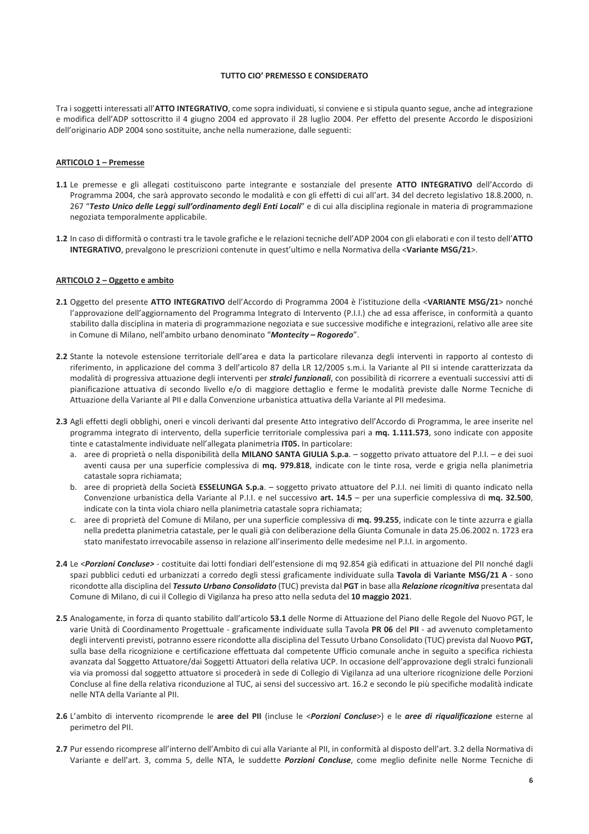### TUTTO CIO' PREMESSO E CONSIDERATO

Tra i soggetti interessati all'ATTO INTEGRATIVO, come sopra individuati, si conviene e si stipula quanto segue, anche ad integrazione e modifica dell'ADP sottoscritto il 4 giugno 2004 ed approvato il 28 luglio 2004. Per effetto del presente Accordo le disposizioni dell'originario ADP 2004 sono sostituite, anche nella numerazione, dalle seguenti:

### **ARTICOLO 1 - Premesse**

- 1.1 Le premesse e gli allegati costituiscono parte integrante e sostanziale del presente ATTO INTEGRATIVO dell'Accordo di Programma 2004, che sarà approvato secondo le modalità e con gli effetti di cui all'art. 34 del decreto legislativo 18.8.2000, n. 267 "Testo Unico delle Leggi sull'ordinamento degli Enti Locali" e di cui alla disciplina regionale in materia di programmazione negoziata temporalmente applicabile.
- 1.2 In caso di difformità o contrasti tra le tavole grafiche e le relazioni tecniche dell'ADP 2004 con gli elaborati e con il testo dell'ATTO INTEGRATIVO, prevalgono le prescrizioni contenute in quest'ultimo e nella Normativa della <Variante MSG/21>.

#### ARTICOLO 2 - Oggetto e ambito

- 2.1 Oggetto del presente ATTO INTEGRATIVO dell'Accordo di Programma 2004 è l'istituzione della <VARIANTE MSG/21> nonché l'approvazione dell'aggiornamento del Programma Integrato di Intervento (P.I.I.) che ad essa afferisce, in conformità a quanto stabilito dalla disciplina in materia di programmazione negoziata e sue successive modifiche e integrazioni, relativo alle aree site in Comune di Milano, nell'ambito urbano denominato "Montecity - Rogoredo".
- 2.2 Stante la notevole estensione territoriale dell'area e data la particolare rilevanza degli interventi in rapporto al contesto di riferimento, in applicazione del comma 3 dell'articolo 87 della LR 12/2005 s.m.i. la Variante al PII si intende caratterizzata da modalità di progressiva attuazione degli interventi per *stralci funzionali*, con possibilità di ricorrere a eventuali successivi atti di pianificazione attuativa di secondo livello e/o di maggiore dettaglio e ferme le modalità previste dalle Norme Tecniche di Attuazione della Variante al PII e dalla Convenzione urbanistica attuativa della Variante al PII medesima.
- 2.3 Agli effetti degli obblighi, oneri e vincoli derivanti dal presente Atto integrativo dell'Accordo di Programma, le aree inserite nel programma integrato di intervento, della superficie territoriale complessiva pari a mq. 1.111.573, sono indicate con apposite tinte e catastalmente individuate nell'allegata planimetria IT05. In particolare:
	- a. aree di proprietà o nella disponibilità della MILANO SANTA GIULIA S.p.a. soggetto privato attuatore del P.I.I. e dei suoi aventi causa per una superficie complessiva di mq. 979.818, indicate con le tinte rosa, verde e grigia nella planimetria catastale sopra richiamata;
	- b. aree di proprietà della Società ESSELUNGA S.p.a. soggetto privato attuatore del P.I.I. nei limiti di quanto indicato nella Convenzione urbanistica della Variante al P.I.I. e nel successivo art. 14.5 – per una superficie complessiva di mq. 32.500, indicate con la tinta viola chiaro nella planimetria catastale sopra richiamata;
	- c. aree di proprietà del Comune di Milano, per una superficie complessiva di mq. 99.255, indicate con le tinte azzurra e gialla nella predetta planimetria catastale, per le quali già con deliberazione della Giunta Comunale in data 25.06.2002 n. 1723 era stato manifestato irrevocabile assenso in relazione all'inserimento delle medesime nel P.I.I. in argomento.
- 2.4 Le <Porzioni Concluse> costituite dai lotti fondiari dell'estensione di mq 92.854 già edificati in attuazione del PII nonché dagli spazi pubblici ceduti ed urbanizzati a corredo degli stessi graficamente individuate sulla Tavola di Variante MSG/21 A - sono ricondotte alla disciplina del Tessuto Urbano Consolidato (TUC) prevista dal PGT in base alla Relazione ricognitiva presentata dal Comune di Milano, di cui il Collegio di Vigilanza ha preso atto nella seduta del 10 maggio 2021.
- 2.5 Analogamente, in forza di quanto stabilito dall'articolo 53.1 delle Norme di Attuazione del Piano delle Regole del Nuovo PGT, le varie Unità di Coordinamento Progettuale - graficamente individuate sulla Tavola PR 06 del PII - ad avvenuto completamento degli interventi previsti, potranno essere ricondotte alla disciplina del Tessuto Urbano Consolidato (TUC) prevista dal Nuovo PGT, sulla base della ricognizione e certificazione effettuata dal competente Ufficio comunale anche in seguito a specifica richiesta avanzata dal Soggetto Attuatore/dai Soggetti Attuatori della relativa UCP. In occasione dell'approvazione degli stralci funzionali via via promossi dal soggetto attuatore si procederà in sede di Collegio di Vigilanza ad una ulteriore ricognizione delle Porzioni Concluse al fine della relativa riconduzione al TUC, ai sensi del successivo art. 16.2 e secondo le più specifiche modalità indicate nelle NTA della Variante al PII.
- 2.6 L'ambito di intervento ricomprende le aree del PII (incluse le <Porzioni Concluse>) e le aree di riqualificazione esterne al perimetro del PII.
- 2.7 Pur essendo ricomprese all'interno dell'Ambito di cui alla Variante al PII, in conformità al disposto dell'art. 3.2 della Normativa di Variante e dell'art. 3, comma 5, delle NTA, le suddette Porzioni Concluse, come meglio definite nelle Norme Tecniche di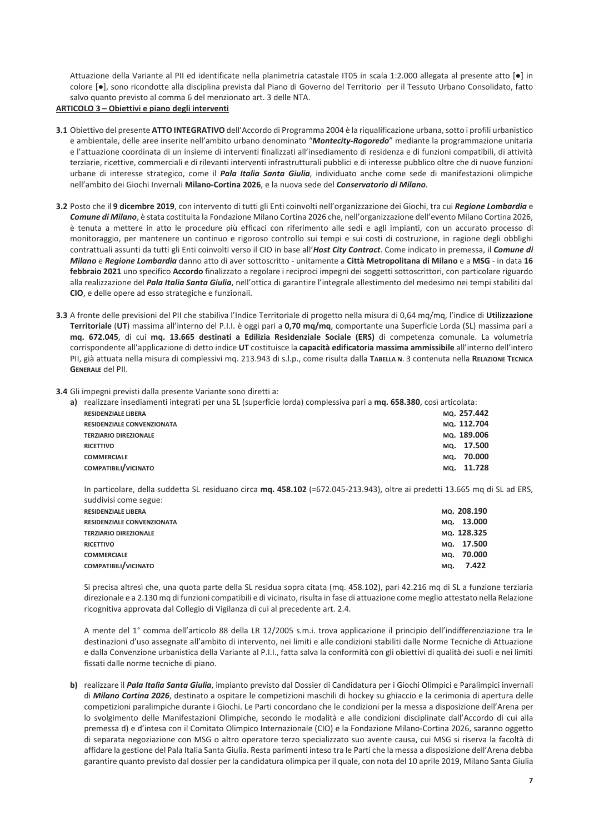Attuazione della Variante al PII ed identificate nella planimetria catastale IT05 in scala 1:2.000 allegata al presente atto [. ] in colore [.], sono ricondotte alla disciplina prevista dal Piano di Governo del Territorio per il Tessuto Urbano Consolidato, fatto salvo quanto previsto al comma 6 del menzionato art. 3 delle NTA.

### ARTICOLO 3 - Obiettivi e piano degli interventi

- 3.1 Obiettivo del presente ATTO INTEGRATIVO dell'Accordo di Programma 2004 è la riqualificazione urbana, sotto i profili urbanistico e ambientale, delle aree inserite nell'ambito urbano denominato "Montecity-Rogoredo" mediante la programmazione unitaria e l'attuazione coordinata di un insieme di interventi finalizzati all'insediamento di residenza e di funzioni compatibili, di attività terziarie, ricettive, commerciali e di rilevanti interventi infrastrutturali pubblici e di interesse pubblico oltre che di nuove funzioni urbane di interesse strategico, come il *Pala Italia Santa Giulia*, individuato anche come sede di manifestazioni olimpiche nell'ambito dei Giochi Invernali Milano-Cortina 2026, e la nuova sede del Conservatorio di Milano.
- 3.2 Posto che il 9 dicembre 2019, con intervento di tutti gli Enti coinvolti nell'organizzazione dei Giochi, tra cui Regione Lombardia e Comune di Milano. è stata costituita la Fondazione Milano Cortina 2026 che, nell'organizzazione dell'evento Milano Cortina 2026. è tenuta a mettere in atto le procedure più efficaci con riferimento alle sedi e agli impianti, con un accurato processo di monitoraggio, per mantenere un continuo e rigoroso controllo sui tempi e sui costi di costruzione, in ragione degli obblighi contrattuali assunti da tutti gli Enti coinvolti verso il CIO in base all'Host City Contract. Come indicato in premessa, il Comune di Milano e Regione Lombardia danno atto di aver sottoscritto - unitamente a Città Metropolitana di Milano e a MSG - in data 16 febbraio 2021 uno specifico Accordo finalizzato a regolare i reciproci impegni dei soggetti sottoscrittori, con particolare riguardo alla realizzazione del Pala Italia Santa Giulia, nell'ottica di garantire l'integrale allestimento del medesimo nei tempi stabiliti dal CIO, e delle opere ad esso strategiche e funzionali.
- 3.3 A fronte delle previsioni del PII che stabiliva l'Indice Territoriale di progetto nella misura di 0,64 mq/mq, l'indice di Utilizzazione Territoriale (UT) massima all'interno del P.I.I. è oggi pari a 0,70 mq/mq, comportante una Superficie Lorda (SL) massima pari a mq. 672.045, di cui mq. 13.665 destinati a Edilizia Residenziale Sociale (ERS) di competenza comunale. La volumetria corrispondente all'applicazione di detto indice UT costituisce la capacità edificatoria massima ammissibile all'interno dell'intero PII, già attuata nella misura di complessivi mq. 213.943 di s.l.p., come risulta dalla TABELLA N. 3 contenuta nella RELAZIONE TECNICA **GENERALE del PII.**
- 3.4 Gli impegni previsti dalla presente Variante sono diretti a:

| <b>RESIDENZIALE LIBERA</b><br><b>RESIDENZIALE CONVENZIONATA</b><br><b>TERZIARIO DIREZIONALE</b><br>MO.<br><b>RICETTIVO</b><br>MQ.<br><b>COMMERCIALE</b><br>COMPATIBILI/VICINATO<br>MQ. | a) | realizzare insediamenti integrati per una SL (superficie lorda) complessiva pari a mq. 658.380, così articolata: |  |             |
|----------------------------------------------------------------------------------------------------------------------------------------------------------------------------------------|----|------------------------------------------------------------------------------------------------------------------|--|-------------|
|                                                                                                                                                                                        |    |                                                                                                                  |  | MO. 257.442 |
|                                                                                                                                                                                        |    |                                                                                                                  |  | MO. 112.704 |
|                                                                                                                                                                                        |    |                                                                                                                  |  | MO. 189.006 |
|                                                                                                                                                                                        |    |                                                                                                                  |  | 17.500      |
|                                                                                                                                                                                        |    |                                                                                                                  |  | 70.000      |
|                                                                                                                                                                                        |    |                                                                                                                  |  | 11.728      |

In particolare, della suddetta SL residuano circa mq. 458.102 (=672.045-213.943), oltre ai predetti 13.665 mq di SL ad ERS, suddivisi come segue:

| <b>RESIDENZIALE LIBERA</b>        |     | MO. 208.190 |
|-----------------------------------|-----|-------------|
| <b>RESIDENZIALE CONVENZIONATA</b> |     | MQ. 13.000  |
| <b>TERZIARIO DIREZIONALE</b>      |     | MO. 128.325 |
| <b>RICETTIVO</b>                  |     | MQ. 17.500  |
| <b>COMMERCIALE</b>                |     | MQ. 70.000  |
| COMPATIBILI/VICINATO              | MQ. | 7.422       |

Si precisa altresì che, una quota parte della SL residua sopra citata (mq. 458.102), pari 42.216 mq di SL a funzione terziaria direzionale e a 2.130 mq di funzioni compatibili e di vicinato, risulta in fase di attuazione come meglio attestato nella Relazione ricognitiva approvata dal Collegio di Vigilanza di cui al precedente art. 2.4.

A mente del 1° comma dell'articolo 88 della LR 12/2005 s.m.i. trova applicazione il principio dell'indifferenziazione tra le destinazioni d'uso assegnate all'ambito di intervento, nei limiti e alle condizioni stabiliti dalle Norme Tecniche di Attuazione e dalla Convenzione urbanistica della Variante al P.I.I., fatta salva la conformità con gli obiettivi di qualità dei suoli e nei limiti fissati dalle norme tecniche di piano.

b) realizzare il *Pala Italia Santa Giulia*, impianto previsto dal Dossier di Candidatura per i Giochi Olimpici e Paralimpici invernali di Milano Cortina 2026, destinato a ospitare le competizioni maschili di hockey su ghiaccio e la cerimonia di apertura delle competizioni paralimpiche durante i Giochi. Le Parti concordano che le condizioni per la messa a disposizione dell'Arena per lo svolgimento delle Manifestazioni Olimpiche, secondo le modalità e alle condizioni disciplinate dall'Accordo di cui alla premessa d) e d'intesa con il Comitato Olimpico Internazionale (CIO) e la Fondazione Milano-Cortina 2026, saranno oggetto di separata negoziazione con MSG o altro operatore terzo specializzato suo avente causa, cui MSG si riserva la facoltà di affidare la gestione del Pala Italia Santa Giulia. Resta parimenti inteso tra le Parti che la messa a disposizione dell'Arena debba garantire quanto previsto dal dossier per la candidatura olimpica per il quale, con nota del 10 aprile 2019, Milano Santa Giulia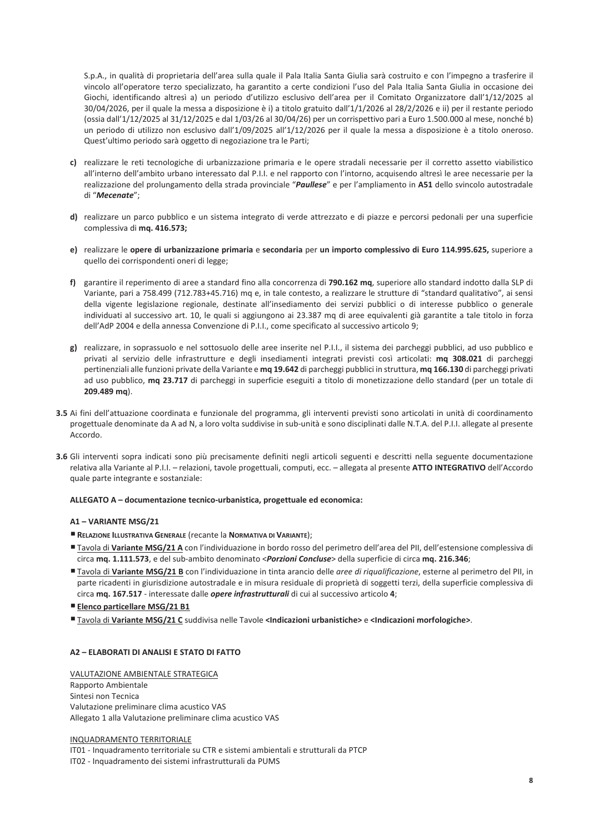S.p.A., in qualità di proprietaria dell'area sulla quale il Pala Italia Santa Giulia sarà costruito e con l'impegno a trasferire il vincolo all'operatore terzo specializzato, ha garantito a certe condizioni l'uso del Pala Italia Santa Giulia in occasione dei Giochi, identificando altresì a) un periodo d'utilizzo esclusivo dell'area per il Comitato Organizzatore dall'1/12/2025 al 30/04/2026, per il quale la messa a disposizione è i) a titolo gratuito dall'1/1/2026 al 28/2/2026 e ii) per il restante periodo (ossia dall'1/12/2025 al 31/12/2025 e dal 1/03/26 al 30/04/26) per un corrispettivo pari a Euro 1.500.000 al mese, nonché b) un periodo di utilizzo non esclusivo dall'1/09/2025 all'1/12/2026 per il quale la messa a disposizione è a titolo oneroso. Quest'ultimo periodo sarà oggetto di negoziazione tra le Parti;

- c) realizzare le reti tecnologiche di urbanizzazione primaria e le opere stradali necessarie per il corretto assetto viabilistico all'interno dell'ambito urbano interessato dal P.I.I. e nel rapporto con l'intorno, acquisendo altresì le aree necessarie per la realizzazione del prolungamento della strada provinciale "Paullese" e per l'ampliamento in A51 dello svincolo autostradale di "Mecenate";
- d) realizzare un parco pubblico e un sistema integrato di verde attrezzato e di piazze e percorsi pedonali per una superficie complessiva di mq. 416.573;
- e) realizzare le opere di urbanizzazione primaria e secondaria per un importo complessivo di Euro 114.995.625, superiore a quello dei corrispondenti oneri di legge;
- f) garantire il reperimento di aree a standard fino alla concorrenza di 790.162 mq, superiore allo standard indotto dalla SLP di Variante, pari a 758.499 (712.783+45.716) mq e, in tale contesto, a realizzare le strutture di "standard qualitativo", ai sensi della vigente legislazione regionale, destinate all'insediamento dei servizi pubblici o di interesse pubblico o generale individuati al successivo art. 10, le quali si aggiungono ai 23.387 mq di aree equivalenti già garantite a tale titolo in forza dell'AdP 2004 e della annessa Convenzione di P.I.I., come specificato al successivo articolo 9;
- g) realizzare, in soprassuolo e nel sottosuolo delle aree inserite nel P.I.I., il sistema dei parcheggi pubblici, ad uso pubblico e privati al servizio delle infrastrutture e degli insediamenti integrati previsti così articolati: mq 308.021 di parcheggi pertinenziali alle funzioni private della Variante e mq 19.642 di parcheggi pubblici in struttura, mq 166.130 di parcheggi privati ad uso pubblico, mq 23.717 di parcheggi in superficie eseguiti a titolo di monetizzazione dello standard (per un totale di 209.489 mq).
- 3.5 Ai fini dell'attuazione coordinata e funzionale del programma, gli interventi previsti sono articolati in unità di coordinamento progettuale denominate da A ad N, a loro volta suddivise in sub-unità e sono disciplinati dalle N.T.A. del P.I.I. allegate al presente Accordo
- 3.6 Gli interventi sopra indicati sono più precisamente definiti negli articoli seguenti e descritti nella seguente documentazione relativa alla Variante al P.I.I. - relazioni, tavole progettuali, computi, ecc. - allegata al presente ATTO INTEGRATIVO dell'Accordo quale parte integrante e sostanziale:

# ALLEGATO A - documentazione tecnico-urbanistica, progettuale ed economica:

# A1-VARIANTE MSG/21

- RELAZIONE ILLUSTRATIVA GENERALE (recante la NORMATIVA DI VARIANTE);
- "Tavola di Variante MSG/21 A con l'individuazione in bordo rosso del perimetro dell'area del PII, dell'estensione complessiva di circa mq. 1.111.573, e del sub-ambito denominato <Porzioni Concluse> della superficie di circa mq. 216.346;
- Tavola di Variante MSG/21 B con l'individuazione in tinta arancio delle aree di riqualificazione, esterne al perimetro del PII, in parte ricadenti in giurisdizione autostradale e in misura residuale di proprietà di soggetti terzi, della superficie complessiva di circa mq. 167.517 - interessate dalle opere infrastrutturali di cui al successivo articolo 4;
- **Elenco particellare MSG/21 B1**
- Tavola di Variante MSG/21 C suddivisa nelle Tavole <Indicazioni urbanistiche> e <Indicazioni morfologiche>.

# A2 - ELABORATI DI ANALISI E STATO DI FATTO

VALUTAZIONE AMBIENTALE STRATEGICA Rapporto Ambientale Sintesi non Tecnica Valutazione preliminare clima acustico VAS Allegato 1 alla Valutazione preliminare clima acustico VAS

INQUADRAMENTO TERRITORIALE

IT01 - Inquadramento territoriale su CTR e sistemi ambientali e strutturali da PTCP IT02 - Inquadramento dei sistemi infrastrutturali da PUMS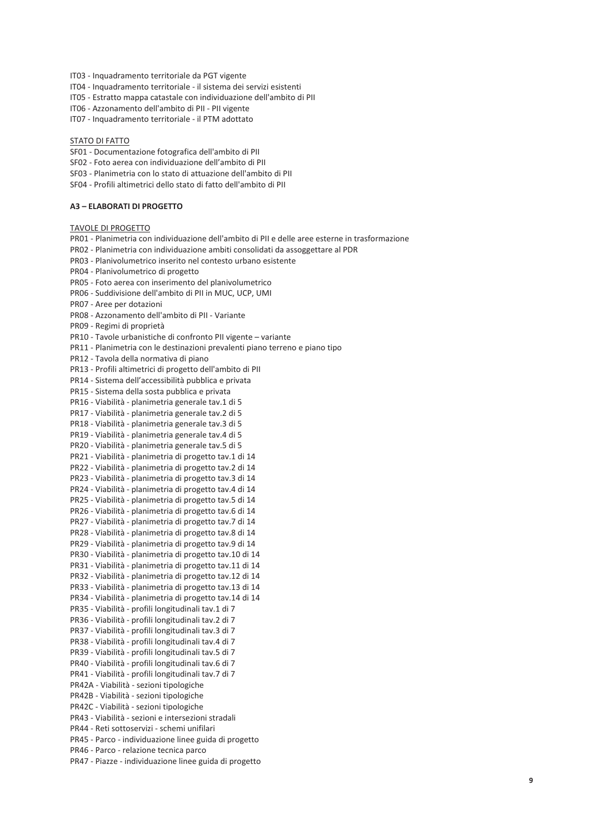IT03 - Inquadramento territoriale da PGT vigente

- IT04 Inquadramento territoriale il sistema dei servizi esistenti
- IT05 Estratto mappa catastale con individuazione dell'ambito di PII
- IT06 Azzonamento dell'ambito di PII PII vigente
- IT07 Inquadramento territoriale il PTM adottato

#### STATO DI FATTO

- SF01 Documentazione fotografica dell'ambito di PII
- SF02 Foto aerea con individuazione dell'ambito di PII
- SF03 Planimetria con lo stato di attuazione dell'ambito di PII
- SE04 Profili altimetrici dello stato di fatto dell'ambito di PII

### **A3 - ELABORATI DI PROGETTO**

### **TAVOLE DI PROGETTO**

PR01 - Planimetria con individuazione dell'ambito di PII e delle aree esterne in trasformazione PR02 - Planimetria con individuazione ambiti consolidati da assoggettare al PDR PR03 - Planivolumetrico inserito nel contesto urbano esistente PR04 - Planivolumetrico di progetto PR05 - Foto aerea con inserimento del planivolumetrico PR06 - Suddivisione dell'ambito di PII in MUC, UCP, UMI PR07 - Aree per dotazioni PR08 - Azzonamento dell'ambito di PII - Variante PR09 - Regimi di proprietà PR10 - Tavole urbanistiche di confronto PII vigente - variante PR11 - Planimetria con le destinazioni prevalenti piano terreno e piano tipo PR12 - Tavola della normativa di piano PR13 - Profili altimetrici di progetto dell'ambito di PII PR14 - Sistema dell'accessibilità pubblica e privata PR15 - Sistema della sosta pubblica e privata PR16 - Viabilità - planimetria generale tav.1 di 5 PR17 - Viabilità - planimetria generale tav.2 di 5 PR18 - Viabilità - planimetria generale tav.3 di 5 PR19 - Viabilità - planimetria generale tav.4 di 5 PR20 - Viabilità - planimetria generale tav.5 di 5 PR21 - Viabilità - planimetria di progetto tav.1 di 14 PR22 - Viabilità - planimetria di progetto tav.2 di 14 PR23 - Viabilità - planimetria di progetto tav.3 di 14 PR24 - Viabilità - planimetria di progetto tav.4 di 14 PR25 - Viabilità - planimetria di progetto tav.5 di 14 PR26 - Viabilità - planimetria di progetto tav.6 di 14 PR27 - Viabilità - planimetria di progetto tav.7 di 14 PR28 - Viabilità - planimetria di progetto tav.8 di 14 PR29 - Viabilità - planimetria di progetto tav.9 di 14 PR30 - Viabilità - planimetria di progetto tav.10 di 14 PR31 - Viabilità - planimetria di progetto tav.11 di 14 PR32 - Viabilità - planimetria di progetto tav.12 di 14 PR33 - Viabilità - planimetria di progetto tav.13 di 14 PR34 - Viabilità - planimetria di progetto tav.14 di 14 PR35 - Viabilità - profili longitudinali tav.1 di 7 PR36 - Viabilità - profili longitudinali tav.2 di 7 PR37 - Viabilità - profili longitudinali tav.3 di 7 PR38 - Viabilità - profili longitudinali tav.4 di 7 PR39 - Viabilità - profili longitudinali tav.5 di 7 PR40 - Viabilità - profili longitudinali tav.6 di 7 PR41 - Viabilità - profili longitudinali tav.7 di 7 PR42A - Viabilità - sezioni tipologiche PR42B - Viabilità - sezioni tipologiche PR42C - Viabilità - sezioni tipologiche PR43 - Viabilità - sezioni e intersezioni stradali PR44 - Reti sottoservizi - schemi unifilari PR45 - Parco - individuazione linee guida di progetto PR46 - Parco - relazione tecnica parco PR47 - Piazze - individuazione linee guida di progetto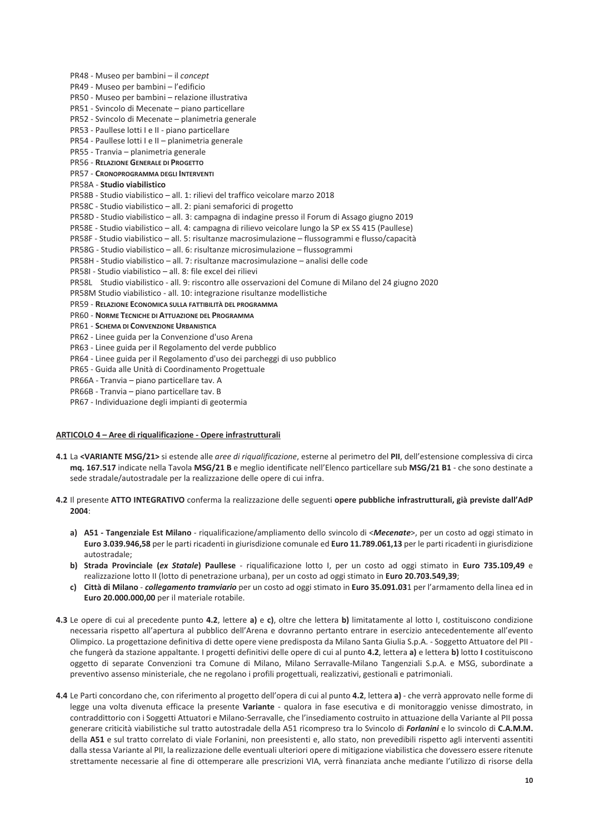PR48 - Museo per bambini - il concept PR49 - Museo per bambini - l'edificio PR50 - Museo per bambini - relazione illustrativa PR51 - Svincolo di Mecenate - piano particellare PR52 - Svincolo di Mecenate – planimetria generale PR53 - Paullese lotti I e II - piano particellare PR54 - Paullese lotti I e II - planimetria generale PR55 - Tranvia - planimetria generale PR56 - RELAZIONE GENERALE DI PROGETTO PR57 - CRONOPROGRAMMA DEGLI INTERVENTI PR58A - Studio viabilistico PR58B - Studio viabilistico - all. 1: rilievi del traffico veicolare marzo 2018 PR58C - Studio viabilistico - all. 2: piani semaforici di progetto PR58D - Studio viabilistico – all. 3: campagna di indagine presso il Forum di Assago giugno 2019 PR58E - Studio viabilistico - all. 4: campagna di rilievo veicolare lungo la SP ex SS 415 (Paullese) PR58F - Studio viabilistico - all. 5: risultanze macrosimulazione - flussogrammi e flusso/capacità PR58G - Studio viabilistico - all. 6: risultanze microsimulazione - flussogrammi PR58H - Studio viabilistico - all. 7: risultanze macrosimulazione - analisi delle code PR58I - Studio viabilistico - all. 8: file excel dei rilievi PR58L Studio viabilistico - all. 9: riscontro alle osservazioni del Comune di Milano del 24 giugno 2020 PR58M Studio viabilistico - all. 10: integrazione risultanze modellistiche PR59 - RELAZIONE ECONOMICA SULLA FATTIBILITÀ DEL PROGRAMMA PR60 - NORME TECNICHE DI ATTUAZIONE DEL PROGRAMMA PR61 - SCHEMA DI CONVENZIONE URBANISTICA PR62 - Linee guida per la Convenzione d'uso Arena PR63 - Linee guida per il Regolamento del verde pubblico PR64 - Linee guida per il Regolamento d'uso dei parcheggi di uso pubblico PR65 - Guida alle Unità di Coordinamento Progettuale PR66A - Tranvia - piano particellare tav. A PR66B - Tranvia - piano particellare tav. B

PR67 - Individuazione degli impianti di geotermia

# ARTICOLO 4 - Aree di riqualificazione - Opere infrastrutturali

- 4.1 La <VARIANTE MSG/21> si estende alle aree di riqualificazione, esterne al perimetro del PII, dell'estensione complessiva di circa mq. 167.517 indicate nella Tavola MSG/21 B e meglio identificate nell'Elenco particellare sub MSG/21 B1 - che sono destinate a sede stradale/autostradale per la realizzazione delle opere di cui infra.
- 4.2 Il presente ATTO INTEGRATIVO conferma la realizzazione delle seguenti opere pubbliche infrastrutturali, già previste dall'AdP 2004:
	- a) A51 Tangenziale Est Milano riqualificazione/ampliamento dello svincolo di <Mecenate>, per un costo ad oggi stimato in Euro 3.039.946,58 per le parti ricadenti in giurisdizione comunale ed Euro 11.789.061,13 per le parti ricadenti in giurisdizione autostradale;
	- b) Strada Provinciale (ex Statale) Paullese riqualificazione lotto I, per un costo ad oggi stimato in Euro 735.109,49 e realizzazione lotto II (lotto di penetrazione urbana), per un costo ad oggi stimato in Euro 20.703.549,39;
	- c) Città di Milano collegamento tramviario per un costo ad oggi stimato in Euro 35.091.031 per l'armamento della linea ed in Euro 20.000.000.00 per il materiale rotabile.
- 4.3 Le opere di cui al precedente punto 4.2, lettere a) e c), oltre che lettera b) limitatamente al lotto I, costituiscono condizione necessaria rispetto all'apertura al pubblico dell'Arena e dovranno pertanto entrare in esercizio antecedentemente all'evento Olimpico. La progettazione definitiva di dette opere viene predisposta da Milano Santa Giulia S.p.A. - Soggetto Attuatore del PII che fungerà da stazione appaltante. I progetti definitivi delle opere di cui al punto 4.2, lettera a) e lettera b) lotto I costituiscono oggetto di separate Convenzioni tra Comune di Milano, Milano Serravalle-Milano Tangenziali S.p.A. e MSG, subordinate a preventivo assenso ministeriale, che ne regolano i profili progettuali, realizzativi, gestionali e patrimoniali.
- 4.4 Le Parti concordano che, con riferimento al progetto dell'opera di cui al punto 4.2, lettera a) che verrà approvato nelle forme di legge una volta divenuta efficace la presente Variante - qualora in fase esecutiva e di monitoraggio venisse dimostrato, in contraddittorio con i Soggetti Attuatori e Milano-Serravalle, che l'insediamento costruito in attuazione della Variante al PII possa generare criticità viabilistiche sul tratto autostradale della A51 ricompreso tra lo Svincolo di Forlanini e lo svincolo di C.A.M.M. della A51 e sul tratto correlato di viale Forlanini, non preesistenti e, allo stato, non prevedibili rispetto agli interventi assentiti dalla stessa Variante al PII, la realizzazione delle eventuali ulteriori opere di mitigazione viabilistica che dovessero essere ritenute strettamente necessarie al fine di ottemperare alle prescrizioni VIA, verrà finanziata anche mediante l'utilizzo di risorse della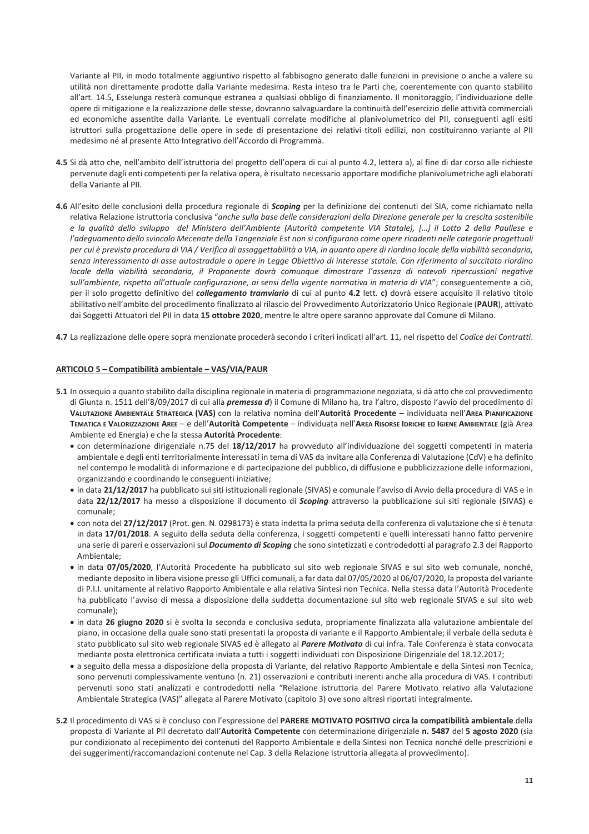Variante al PII, in modo totalmente aggiuntivo rispetto al fabbisogno generato dalle funzioni in previsione o anche a valere su utilità non direttamente prodotte dalla Variante medesima. Resta inteso tra le Parti che, coerentemente con quanto stabilito all'art. 14.5, Esselunga resterà comunque estranea a qualsiasi obbligo di finanziamento. Il monitoraggio, l'individuazione delle opere di mitigazione e la realizzazione delle stesse, dovranno salvaguardare la continuità dell'esercizio delle attività commerciali ed economiche assentite dalla Variante. Le eventuali correlate modifiche al planivolumetrico del PII, conseguenti agli esiti istruttori sulla progettazione delle opere in sede di presentazione dei relativi titoli edilizi, non costituiranno variante al PII medesimo né al presente Atto Integrativo dell'Accordo di Programma.

- 4.5 Si dà atto che, nell'ambito dell'istruttoria del progetto dell'opera di cui al punto 4.2, lettera a), al fine di dar corso alle richieste pervenute dagli enti competenti per la relativa opera, è risultato necessario apportare modifiche planivolumetriche agli elaborati della Variante al PII.
- 4.6 All'esito delle conclusioni della procedura regionale di *Scoping* per la definizione dei contenuti del SIA, come richiamato nella relativa Relazione istruttoria conclusiva "anche sulla base delle considerazioni della Direzione generale per la crescita sostenibile e la qualità dello sviluppo del Ministero dell'Ambiente (Autorità competente VIA Statale), [...] il Lotto 2 della Paullese e l'adequamento dello svincolo Mecenate della Tangenziale Est non si configurano come opere ricadenti nelle categorie progettuali per cui è prevista procedura di VIA / Verifica di assoggettabilità a VIA, in quanto opere di riordino locale della viabilità secondaria, senza interessamento di asse autostradale o opere in Legge Obiettivo di interesse statale. Con riferimento al succitato riordino locale della viabilità secondaria, il Proponente dovrà comunque dimostrare l'assenza di notevoli ripercussioni negative sull'ambiente, rispetto all'attuale configurazione, ai sensi della vigente normativa in materia di VIA"; conseguentemente a ciò, per il solo progetto definitivo del collegamento tramviario di cui al punto 4.2 lett. c) dovrà essere acquisito il relativo titolo abilitativo nell'ambito del procedimento finalizzato al rilascio del Provvedimento Autorizzatorio Unico Regionale (PAUR), attivato dai Soggetti Attuatori del PII in data 15 ottobre 2020, mentre le altre opere saranno approvate dal Comune di Milano.
- 4.7 La realizzazione delle opere sopra menzionate procederà secondo i criteri indicati all'art. 11, nel rispetto del Codice dei Contratti.

### ARTICOLO 5 - Compatibilità ambientale - VAS/VIA/PAUR

- 5.1 In ossequio a quanto stabilito dalla disciplina regionale in materia di programmazione negoziata, si dà atto che col provvedimento di Giunta n. 1511 dell'8/09/2017 di cui alla *premessa d*) il Comune di Milano ha, tra l'altro, disposto l'avvio del procedimento di VALUTAZIONE AMBIENTALE STRATEGICA (VAS) con la relativa nomina dell'Autorità Procedente - individuata nell'AREA PIANIFICAZIONE TEMATICA E VALORIZZAZIONE AREE - e dell'Autorità Competente - individuata nell'AREA RISORSE IDRICHE ED IGIENE AMBIENTALE (già Area Ambiente ed Energia) e che la stessa Autorità Procedente:
	- con determinazione dirigenziale n.75 del 18/12/2017 ha provveduto all'individuazione dei soggetti competenti in materia ambientale e degli enti territorialmente interessati in tema di VAS da invitare alla Conferenza di Valutazione (CdV) e ha definito nel contempo le modalità di informazione e di partecipazione del pubblico, di diffusione e pubblicizzazione delle informazioni, organizzando e coordinando le conseguenti iniziative;
	- · in data 21/12/2017 ha pubblicato sui siti istituzionali regionale (SIVAS) e comunale l'avviso di Avvio della procedura di VAS e in data 22/12/2017 ha messo a disposizione il documento di Scoping attraverso la pubblicazione sui siti regionale (SIVAS) e comunale<sup>.</sup>
	- · con nota del 27/12/2017 (Prot. gen. N. 0298173) è stata indetta la prima seduta della conferenza di valutazione che si è tenuta in data 17/01/2018. A seguito della seduta della conferenza, i soggetti competenti e quelli interessati hanno fatto pervenire una serie di pareri e osservazioni sul *Documento di Scoping* che sono sintetizzati e controdedotti al paragrafo 2.3 del Rapporto Ambientale:
	- · in data 07/05/2020, l'Autorità Procedente ha pubblicato sul sito web regionale SIVAS e sul sito web comunale, nonché, mediante deposito in libera visione presso gli Uffici comunali, a far data dal 07/05/2020 al 06/07/2020, la proposta del variante di P.I.I. unitamente al relativo Rapporto Ambientale e alla relativa Sintesi non Tecnica. Nella stessa data l'Autorità Procedente ha pubblicato l'avviso di messa a disposizione della suddetta documentazione sul sito web regionale SIVAS e sul sito web comunale):
	- · in data 26 giugno 2020 si è svolta la seconda e conclusiva seduta, propriamente finalizzata alla valutazione ambientale del piano, in occasione della quale sono stati presentati la proposta di variante e il Rapporto Ambientale; il verbale della seduta è stato pubblicato sul sito web regionale SIVAS ed è allegato al *Parere Motivato* di cui infra. Tale Conferenza è stata convocata mediante posta elettronica certificata inviata a tutti i soggetti individuati con Disposizione Dirigenziale del 18.12.2017;
	- · a seguito della messa a disposizione della proposta di Variante, del relativo Rapporto Ambientale e della Sintesi non Tecnica, sono pervenuti complessivamente ventuno (n. 21) osservazioni e contributi inerenti anche alla procedura di VAS. I contributi pervenuti sono stati analizzati e controdedotti nella "Relazione istruttoria del Parere Motivato relativo alla Valutazione Ambientale Strategica (VAS)" allegata al Parere Motivato (capitolo 3) ove sono altresì riportati integralmente.
- 5.2 Il procedimento di VAS si è concluso con l'espressione del PARERE MOTIVATO POSITIVO circa la compatibilità ambientale della proposta di Variante al PII decretato dall'Autorità Competente con determinazione dirigenziale n. 5487 del 5 agosto 2020 (sia pur condizionato al recepimento dei contenuti del Rapporto Ambientale e della Sintesi non Tecnica nonché delle prescrizioni e dei suggerimenti/raccomandazioni contenute nel Cap. 3 della Relazione Istruttoria allegata al provvedimento).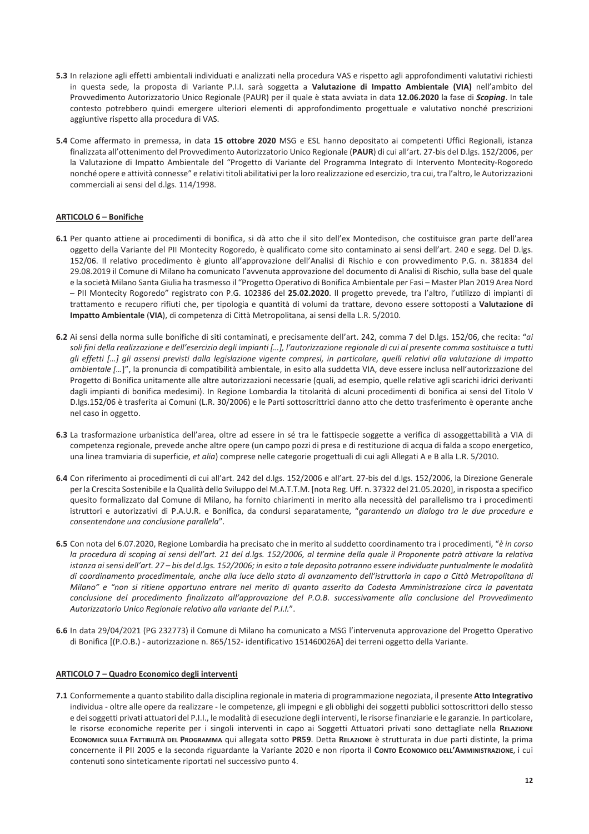- 5.3 In relazione agli effetti ambientali individuati e analizzati nella procedura VAS e rispetto agli approfondimenti valutativi richiesti in questa sede, la proposta di Variante P.I.I. sarà soggetta a Valutazione di Impatto Ambientale (VIA) nell'ambito del Provvedimento Autorizzatorio Unico Regionale (PAUR) per il quale è stata avviata in data 12.06.2020 la fase di Scoping. In tale contesto potrebbero quindi emergere ulteriori elementi di approfondimento progettuale e valutativo nonché prescrizioni aggiuntive rispetto alla procedura di VAS.
- 5.4 Come affermato in premessa, in data 15 ottobre 2020 MSG e ESL hanno depositato ai competenti Uffici Regionali, istanza finalizzata all'ottenimento del Provvedimento Autorizzatorio Unico Regionale (PAUR) di cui all'art. 27-bis del D.lgs. 152/2006, per la Valutazione di Impatto Ambientale del "Progetto di Variante del Programma Integrato di Intervento Montecity-Rogoredo nonché opere e attività connesse" e relativi titoli abilitativi per la loro realizzazione ed esercizio, tra cui, tra l'altro, le Autorizzazioni commerciali ai sensi del d.lgs. 114/1998.

# **ARTICOLO 6 - Bonifiche**

- 6.1 Per quanto attiene ai procedimenti di bonifica, si dà atto che il sito dell'ex Montedison, che costituisce gran parte dell'area oggetto della Variante del PII Montecity Rogoredo, è qualificato come sito contaminato ai sensi dell'art. 240 e segg. Del D.lgs. 152/06. Il relativo procedimento è giunto all'approvazione dell'Analisi di Rischio e con provvedimento P.G. n. 381834 del 29.08.2019 il Comune di Milano ha comunicato l'avvenuta approvazione del documento di Analisi di Rischio, sulla base del quale e la società Milano Santa Giulia ha trasmesso il "Progetto Operativo di Bonifica Ambientale per Fasi - Master Plan 2019 Area Nord - PII Montecity Rogoredo" registrato con P.G. 102386 del 25.02.2020. Il progetto prevede, tra l'altro, l'utilizzo di impianti di trattamento e recupero rifiuti che, per tipologia e quantità di volumi da trattare, devono essere sottoposti a Valutazione di Impatto Ambientale (VIA), di competenza di Città Metropolitana, ai sensi della L.R. 5/2010.
- 6.2 Ai sensi della norma sulle bonifiche di siti contaminati, e precisamente dell'art. 242, comma 7 del D.lgs. 152/06, che recita: "ai soli fini della realizzazione e dell'esercizio deali impianti [...]. l'autorizzazione regionale di cui al presente comma sostituisce a tutti gli effetti [...] gli assensi previsti dalla legislazione vigente compresi, in particolare, quelli relativi alla valutazione di impatto ambientale [...]", la pronuncia di compatibilità ambientale, in esito alla suddetta VIA, deve essere inclusa nell'autorizzazione del Progetto di Bonifica unitamente alle altre autorizzazioni necessarie (quali, ad esempio, quelle relative agli scarichi idrici derivanti dagli impianti di bonifica medesimi). In Regione Lombardia la titolarità di alcuni procedimenti di bonifica ai sensi del Titolo V D.lgs.152/06 è trasferita ai Comuni (L.R. 30/2006) e le Parti sottoscrittrici danno atto che detto trasferimento è operante anche nel caso in oggetto.
- 6.3 La trasformazione urbanistica dell'area, oltre ad essere in sé tra le fattispecie soggette a verifica di assoggettabilità a VIA di competenza regionale, prevede anche altre opere (un campo pozzi di presa e di restituzione di acqua di falda a scopo energetico, una linea tramviaria di superficie, et alia) comprese nelle categorie progettuali di cui agli Allegati A e B alla L.R. 5/2010.
- 6.4 Con riferimento ai procedimenti di cui all'art. 242 del d.lgs. 152/2006 e all'art. 27-bis del d.lgs. 152/2006, la Direzione Generale per la Crescita Sostenibile e la Qualità dello Sviluppo del M.A.T.T.M. [nota Reg. Uff. n. 37322 del 21.05.2020], in risposta a specifico quesito formalizzato dal Comune di Milano, ha fornito chiarimenti in merito alla necessità del parallelismo tra i procedimenti istruttori e autorizzativi di P.A.U.R. e Bonifica, da condursi separatamente, "garantendo un dialogo tra le due procedure e consentendone una conclusione parallela".
- 6.5 Con nota del 6.07.2020, Regione Lombardia ha precisato che in merito al suddetto coordinamento tra i procedimenti, "è in corso la procedura di scoping ai sensi dell'art. 21 del d.lgs. 152/2006, al termine della quale il Proponente potrà attivare la relativa istanza ai sensi dell'art. 27 - bis del d.lgs. 152/2006; in esito a tale deposito potranno essere individuate puntualmente le modalità di coordinamento procedimentale, anche alla luce dello stato di avanzamento dell'istruttoria in capo a Città Metropolitana di Milano" e "non si ritiene opportuno entrare nel merito di quanto asserito da Codesta Amministrazione circa la paventata conclusione del procedimento finalizzato all'approvazione del P.O.B. successivamente alla conclusione del Provvedimento Autorizzatorio Unico Regionale relativo alla variante del P.I.I.".
- 6.6 In data 29/04/2021 (PG 232773) il Comune di Milano ha comunicato a MSG l'intervenuta approvazione del Progetto Operativo di Bonifica [(P.O.B.) - autorizzazione n. 865/152- identificativo 151460026A] dei terreni oggetto della Variante.

# ARTICOLO 7 - Quadro Economico degli interventi

7.1 Conformemente a quanto stabilito dalla disciplina regionale in materia di programmazione negoziata, il presente Atto Integrativo individua - oltre alle opere da realizzare - le competenze, gli impegni e gli obblighi dei soggetti pubblici sottoscrittori dello stesso e dei soggetti privati attuatori del P.I.I., le modalità di esecuzione degli interventi, le risorse finanziarie e le garanzie. In particolare, le risorse economiche reperite per i singoli interventi in capo ai Soggetti Attuatori privati sono dettagliate nella RELAZIONE ECONOMICA SULLA FATTIBILITÀ DEL PROGRAMMA qui allegata sotto PR59. Detta RELAZIONE è strutturata in due parti distinte, la prima concernente il PII 2005 e la seconda riguardante la Variante 2020 e non riporta il Conro Economico DELL'AMMINISTRAZIONE, i cui contenuti sono sinteticamente riportati nel successivo punto 4.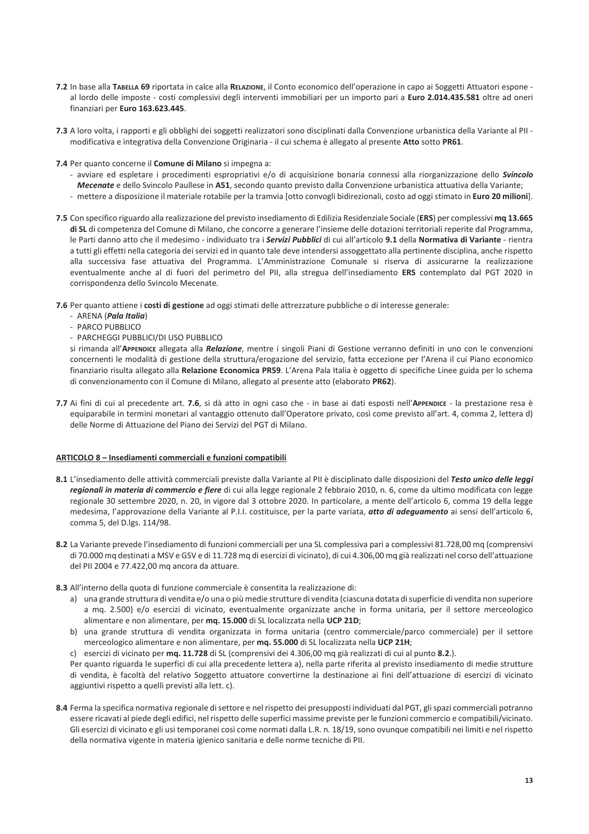- 7.2 In base alla TABELLA 69 riportata in calce alla RELAZIONE, il Conto economico dell'operazione in capo ai Soggetti Attuatori espone al lordo delle imposte - costi complessivi degli interventi immobiliari per un importo pari a Euro 2.014.435.581 oltre ad oneri finanziari per Euro 163.623.445.
- 7.3 A loro volta, i rapporti e gli obblighi dei soggetti realizzatori sono disciplinati dalla Convenzione urbanistica della Variante al PII modificativa e integrativa della Convenzione Originaria - il cui schema è allegato al presente Atto sotto PR61.
- 7.4 Per quanto concerne il Comune di Milano si impegna a:
	- avviare ed espletare i procedimenti espropriativi e/o di acquisizione bonaria connessi alla riorganizzazione dello Svincolo
	- Mecenate e dello Svincolo Paullese in A51, secondo quanto previsto dalla Convenzione urbanistica attuativa della Variante; - mettere a disposizione il materiale rotabile per la tramvia [otto convogli bidirezionali, costo ad oggi stimato in Euro 20 milioni].
	-
- 7.5 Con specifico riguardo alla realizzazione del previsto insediamento di Edilizia Residenziale Sociale (ERS) per complessivi mq 13.665 di SL di competenza del Comune di Milano, che concorre a generare l'insieme delle dotazioni territoriali reperite dal Programma, le Parti danno atto che il medesimo - individuato tra i Servizi Pubblici di cui all'articolo 9.1 della Normativa di Variante - rientra a tutti gli effetti nella categoria dei servizi ed in quanto tale deve intendersi assoggettato alla pertinente disciplina, anche rispetto alla successiva fase attuativa del Programma. L'Amministrazione Comunale si riserva di assicurarne la realizzazione eventualmente anche al di fuori del perimetro del PII, alla stregua dell'insediamento ERS contemplato dal PGT 2020 in corrispondenza dello Svincolo Mecenate.
- 7.6 Per quanto attiene i costi di gestione ad oggi stimati delle attrezzature pubbliche o di interesse generale:
	- ARENA (Pala Italia)
	- PARCO PUBBLICO
	- PARCHEGGI PUBBLICI/DI USO PUBBLICO

si rimanda all'APPENDICE allegata alla Relazione, mentre i singoli Piani di Gestione verranno definiti in uno con le convenzioni concernenti le modalità di gestione della struttura/erogazione del servizio, fatta eccezione per l'Arena il cui Piano economico finanziario risulta allegato alla Relazione Economica PR59. L'Arena Pala Italia è oggetto di specifiche Linee guida per lo schema di convenzionamento con il Comune di Milano, allegato al presente atto (elaborato PR62).

7.7 Ai fini di cui al precedente art. 7.6, si dà atto in ogni caso che - in base ai dati esposti nell'APPENDICE - la prestazione resa è equiparabile in termini monetari al vantaggio ottenuto dall'Operatore privato, così come previsto all'art. 4, comma 2, lettera d) delle Norme di Attuazione del Piano dei Servizi del PGT di Milano.

### ARTICOLO 8 - Insediamenti commerciali e funzioni compatibili

- 8.1 L'insediamento delle attività commerciali previste dalla Variante al PII è disciplinato dalle disposizioni del Testo unico delle leggi regionali in materia di commercio e fiere di cui alla legge regionale 2 febbraio 2010, n. 6, come da ultimo modificata con legge regionale 30 settembre 2020, n. 20, in vigore dal 3 ottobre 2020. In particolare, a mente dell'articolo 6, comma 19 della legge medesima, l'approvazione della Variante al P.I.I. costituisce, per la parte variata, atto di adeguamento ai sensi dell'articolo 6, comma 5, del D.lgs. 114/98.
- 8.2 La Variante prevede l'insediamento di funzioni commerciali per una SL complessiva pari a complessivi 81.728,00 mq (comprensivi di 70.000 mq destinati a MSV e GSV e di 11.728 mq di esercizi di vicinato), di cui 4.306,00 mq già realizzati nel corso dell'attuazione del PII 2004 e 77.422,00 mq ancora da attuare.
- 8.3 All'interno della quota di funzione commerciale è consentita la realizzazione di:
	- a) una grande struttura di vendita e/o una o più medie strutture di vendita (ciascuna dotata di superficie di vendita non superiore a mq. 2.500) e/o esercizi di vicinato, eventualmente organizzate anche in forma unitaria, per il settore merceologico alimentare e non alimentare, per mq. 15.000 di SL localizzata nella UCP 21D;
	- b) una grande struttura di vendita organizzata in forma unitaria (centro commerciale/parco commerciale) per il settore merceologico alimentare e non alimentare, per mq. 55.000 di SL localizzata nella UCP 21H;
	- c) esercizi di vicinato per mq. 11.728 di SL (comprensivi dei 4.306,00 mq già realizzati di cui al punto 8.2.).

Per quanto riguarda le superfici di cui alla precedente lettera a), nella parte riferita al previsto insediamento di medie strutture di vendita, è facoltà del relativo Soggetto attuatore convertirne la destinazione ai fini dell'attuazione di esercizi di vicinato aggiuntivi rispetto a quelli previsti alla lett. c).

8.4 Ferma la specifica normativa regionale di settore e nel rispetto dei presupposti individuati dal PGT, gli spazi commerciali potranno essere ricavati al piede degli edifici, nel rispetto delle superfici massime previste per le funzioni commercio e compatibili/vicinato. Gli esercizi di vicinato e gli usi temporanei così come normati dalla L.R. n. 18/19, sono ovunque compatibili nei limiti e nel rispetto della normativa vigente in materia igienico sanitaria e delle norme tecniche di PII.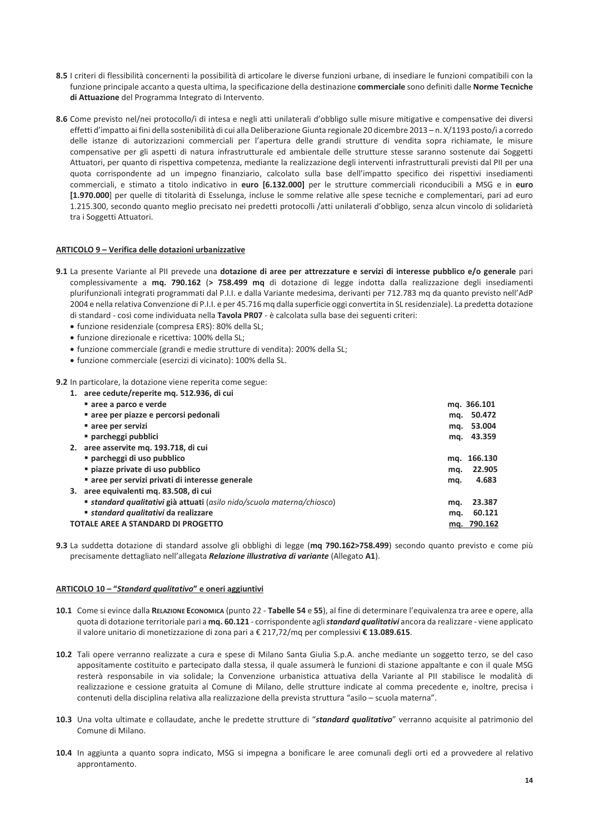- 8.5 I criteri di flessibilità concernenti la possibilità di articolare le diverse funzioni urbane, di insediare le funzioni compatibili con la funzione principale accanto a questa ultima, la specificazione della destinazione commerciale sono definiti dalle Norme Tecniche di Attuazione del Programma Integrato di Intervento.
- 8.6 Come previsto nel/nei protocollo/i di intesa e negli atti unilaterali d'obbligo sulle misure mitigative e compensative dei diversi effetti d'impatto ai fini della sostenibilità di cui alla Deliberazione Giunta regionale 20 dicembre 2013 - n. X/1193 posto/i a corredo delle istanze di autorizzazioni commerciali per l'apertura delle grandi strutture di vendita sopra richiamate, le misure compensative per gli aspetti di natura infrastrutturale ed ambientale delle strutture stesse saranno sostenute dai Soggetti Attuatori, per quanto di rispettiva competenza, mediante la realizzazione degli interventi infrastrutturali previsti dal PII per una quota corrispondente ad un impegno finanziario, calcolato sulla base dell'impatto specifico dei rispettivi insediamenti commerciali, e stimato a titolo indicativo in euro [6.132.000] per le strutture commerciali riconducibili a MSG e in euro [1.970.000] per quelle di titolarità di Esselunga, incluse le somme relative alle spese tecniche e complementari, pari ad euro 1.215.300, secondo quanto meglio precisato nei predetti protocolli /atti unilaterali d'obbligo, senza alcun vincolo di solidarietà tra i Soggetti Attuatori.

# ARTICOLO 9 - Verifica delle dotazioni urbanizzative

- 9.1 La presente Variante al PII prevede una dotazione di aree per attrezzature e servizi di interesse pubblico e/o generale pari complessivamente a mq. 790.162 (> 758.499 mq di dotazione di legge indotta dalla realizzazione degli insediamenti plurifunzionali integrati programmati dal P.I.I. e dalla Variante medesima, derivanti per 712.783 mq da quanto previsto nell'AdP 2004 e nella relativa Convenzione di P.I.I. e per 45.716 mq dalla superficie oggi convertita in SL residenziale). La predetta dotazione di standard - così come individuata nella Tavola PR07 - è calcolata sulla base dei seguenti criteri:
	- · funzione residenziale (compresa ERS): 80% della SL;
	- · funzione direzionale e ricettiva: 100% della SL;
	- funzione commerciale (grandi e medie strutture di vendita): 200% della SL;
	- · funzione commerciale (esercizi di vicinato): 100% della SL.

9.2 In particolare, la dotazione viene reperita come segue:

| 1.                                 | aree cedute/reperite mg. 512.936, di cui                                    |     |             |
|------------------------------------|-----------------------------------------------------------------------------|-----|-------------|
|                                    | ■ aree a parco e verde                                                      |     | mg. 366.101 |
|                                    | " aree per piazze e percorsi pedonali                                       |     | mg. 50.472  |
|                                    | aree per servizi                                                            |     | mg. 53.004  |
|                                    | ■ parcheggi pubblici                                                        |     | mg. 43.359  |
| 2.                                 | aree asservite mg. 193.718, di cui                                          |     |             |
|                                    | " parcheggi di uso pubblico                                                 |     | mg. 166.130 |
|                                    | " piazze private di uso pubblico                                            | mg. | 22.905      |
|                                    | " aree per servizi privati di interesse generale                            | mq. | 4.683       |
| 3.                                 | aree equivalenti mg. 83.508, di cui                                         |     |             |
|                                    | <b>standard qualitativi già attuati</b> (asilo nido/scuola materna/chiosco) | ma. | 23.387      |
|                                    | " standard qualitativi da realizzare                                        | mg. | 60.121      |
| TOTALE AREE A STANDARD DI PROGETTO |                                                                             |     | mg. 790.162 |

9.3 La suddetta dotazione di standard assolve gli obblighi di legge (mq 790.162>758.499) secondo quanto previsto e come più precisamente dettagliato nell'allegata Relazione illustrativa di variante (Allegato A1).

### ARTICOLO 10 - "Standard qualitativo" e oneri aggiuntivi

- 10.1 Come si evince dalla RELAZIONE ECONOMICA (punto 22 Tabelle 54 e 55), al fine di determinare l'equivalenza tra aree e opere, alla quota di dotazione territoriale pari a mq. 60.121 - corrispondente agli standard qualitativi ancora da realizzare - viene applicato il valore unitario di monetizzazione di zona pari a € 217,72/mq per complessivi € 13.089.615.
- 10.2 Tali opere verranno realizzate a cura e spese di Milano Santa Giulia S.p.A. anche mediante un soggetto terzo, se del caso appositamente costituito e partecipato dalla stessa, il quale assumerà le funzioni di stazione appaltante e con il quale MSG resterà responsabile in via solidale: la Convenzione urbanistica attuativa della Variante al PII stabilisce le modalità di realizzazione e cessione gratuita al Comune di Milano, delle strutture indicate al comma precedente e, inoltre, precisa i contenuti della disciplina relativa alla realizzazione della prevista struttura "asilo - scuola materna".
- 10.3 Una volta ultimate e collaudate, anche le predette strutture di "standard qualitativo" verranno acquisite al patrimonio del Comune di Milano.
- 10.4 In aggiunta a quanto sopra indicato, MSG si impegna a bonificare le aree comunali degli orti ed a provvedere al relativo approntamento.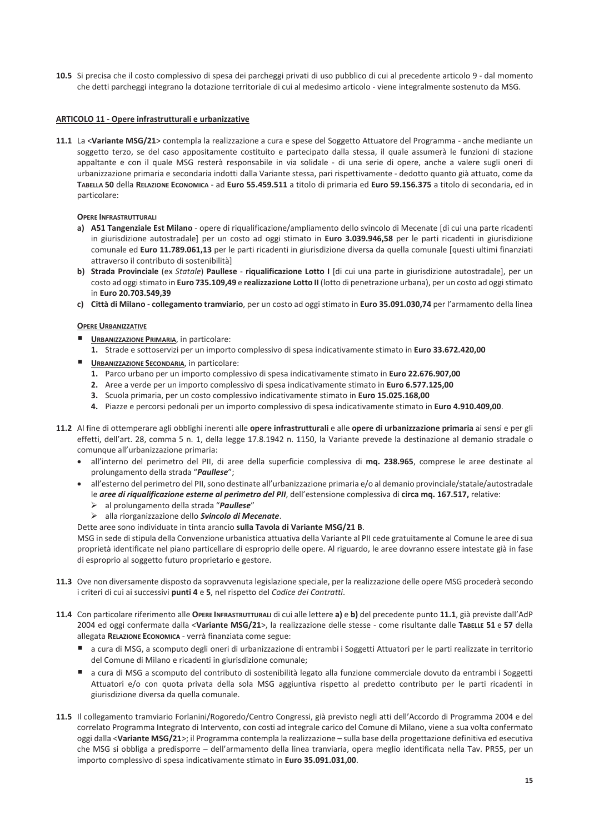10.5 Si precisa che il costo complessivo di spesa dei parcheggi privati di uso pubblico di cui al precedente articolo 9 - dal momento che detti parcheggi integrano la dotazione territoriale di cui al medesimo articolo - viene integralmente sostenuto da MSG.

## ARTICOLO 11 - Opere infrastrutturali e urbanizzative

11.1 La <Variante MSG/21> contempla la realizzazione a cura e spese del Soggetto Attuatore del Programma - anche mediante un soggetto terzo, se del caso appositamente costituito e partecipato dalla stessa, il quale assumerà le funzioni di stazione appaltante e con il quale MSG resterà responsabile in via solidale - di una serie di opere, anche a valere sugli oneri di urbanizzazione primaria e secondaria indotti dalla Variante stessa, pari rispettivamente - dedotto quanto già attuato, come da TABELLA 50 della RELAZIONE ECONOMICA - ad Euro 55.459.511 a titolo di primaria ed Euro 59.156.375 a titolo di secondaria, ed in particolare:

### **OPERE INFRASTRUTTURALI**

- a) A51 Tangenziale Est Milano opere di riqualificazione/ampliamento dello svincolo di Mecenate [di cui una parte ricadenti in giurisdizione autostradale] per un costo ad oggi stimato in Euro 3.039.946,58 per le parti ricadenti in giurisdizione comunale ed Euro 11.789.061,13 per le parti ricadenti in giurisdizione diversa da quella comunale [questi ultimi finanziati attraverso il contributo di sostenibilità]
- b) Strada Provinciale (ex Statale) Paullese riqualificazione Lotto I [di cui una parte in giurisdizione autostradale], per un costo ad oggi stimato in Euro 735.109,49 e realizzazione Lotto II (lotto di penetrazione urbana), per un costo ad oggi stimato in Euro 20.703.549,39
- c) Città di Milano collegamento tramviario, per un costo ad oggi stimato in Euro 35.091.030,74 per l'armamento della linea

### **OPERE URBANIZZATIVE**

- **URBANIZZAZIONE PRIMARIA, in particolare:** 
	- 1. Strade e sottoservizi per un importo complessivo di spesa indicativamente stimato in Euro 33.672.420,00
- **URBANIZZAZIONE SECONDARIA, in particolare:** 
	- 1. Parco urbano per un importo complessivo di spesa indicativamente stimato in Euro 22.676.907,00
	- 2. Aree a verde per un importo complessivo di spesa indicativamente stimato in Euro 6.577.125,00
	- 3. Scuola primaria, per un costo complessivo indicativamente stimato in Euro 15.025.168,00
	- 4. Piazze e percorsi pedonali per un importo complessivo di spesa indicativamente stimato in Euro 4.910.409,00.
- 11.2 Al fine di ottemperare agli obblighi inerenti alle opere infrastrutturali e alle opere di urbanizzazione primaria ai sensi e per gli effetti, dell'art. 28, comma 5 n. 1, della legge 17.8.1942 n. 1150, la Variante prevede la destinazione al demanio stradale o comunque all'urbanizzazione primaria:
	- · all'interno del perimetro del PII, di aree della superficie complessiva di mq. 238.965, comprese le aree destinate al prolungamento della strada "Paullese":
	- all'esterno del perimetro del PII, sono destinate all'urbanizzazione primaria e/o al demanio provinciale/statale/autostradale le aree di riqualificazione esterne al perimetro del PII, dell'estensione complessiva di circa mq. 167.517, relative:
		- $\triangleright$  al prolungamento della strada "Paullese"
		- > alla riorganizzazione dello Svincolo di Mecenate.
	- Dette aree sono individuate in tinta arancio sulla Tavola di Variante MSG/21 B.

MSG in sede di stipula della Convenzione urbanistica attuativa della Variante al PII cede gratuitamente al Comune le aree di sua proprietà identificate nel piano particellare di esproprio delle opere. Al riguardo, le aree dovranno essere intestate già in fase di esproprio al soggetto futuro proprietario e gestore.

- 11.3 Ove non diversamente disposto da sopravvenuta legislazione speciale, per la realizzazione delle opere MSG procederà secondo i criteri di cui ai successivi punti 4 e 5, nel rispetto del Codice dei Contratti.
- 11.4 Con particolare riferimento alle OPERE INFRASTRUTTURALI di cui alle lettere a) e b) del precedente punto 11.1, già previste dall'AdP 2004 ed oggi confermate dalla <Variante MSG/21>, la realizzazione delle stesse - come risultante dalle TABELLE 51 e 57 della allegata RELAZIONE ECONOMICA - verrà finanziata come segue:
	- a cura di MSG, a scomputo degli oneri di urbanizzazione di entrambi i Soggetti Attuatori per le parti realizzate in territorio del Comune di Milano e ricadenti in giurisdizione comunale;
	- a cura di MSG a scomputo del contributo di sostenibilità legato alla funzione commerciale dovuto da entrambi i Soggetti Attuatori e/o con quota privata della sola MSG aggiuntiva rispetto al predetto contributo per le parti ricadenti in giurisdizione diversa da quella comunale.
- 11.5 Il collegamento tramviario Forlanini/Rogoredo/Centro Congressi, già previsto negli atti dell'Accordo di Programma 2004 e del correlato Programma Integrato di Intervento, con costi ad integrale carico del Comune di Milano, viene a sua volta confermato oggi dalla <Variante MSG/21>; il Programma contempla la realizzazione - sulla base della progettazione definitiva ed esecutiva che MSG si obbliga a predisporre - dell'armamento della linea tranviaria, opera meglio identificata nella Tav. PR55, per un importo complessivo di spesa indicativamente stimato in Euro 35.091.031.00.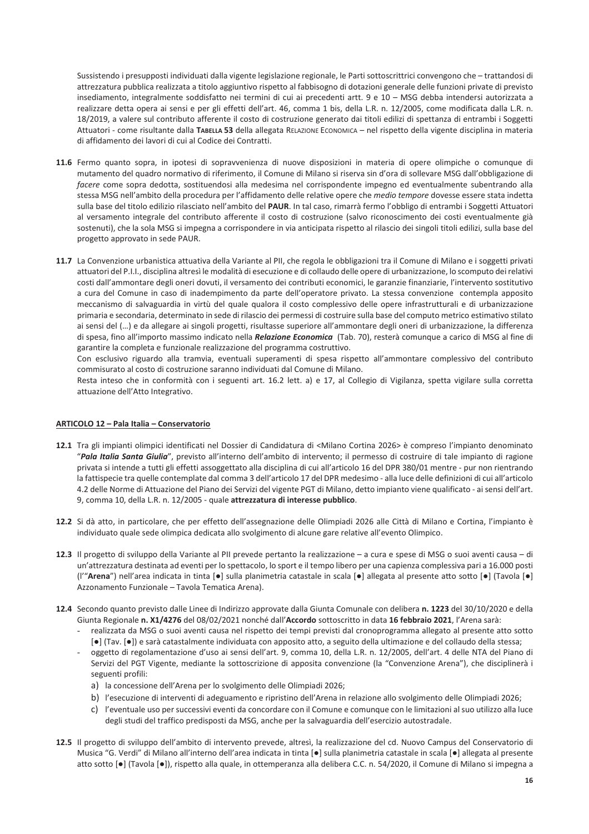Sussistendo i presupposti individuati dalla vigente legislazione regionale, le Parti sottoscrittrici convengono che - trattandosi di attrezzatura pubblica realizzata a titolo aggiuntivo rispetto al fabbisogno di dotazioni generale delle funzioni private di previsto insediamento, integralmente soddisfatto nei termini di cui ai precedenti artt. 9 e 10 - MSG debba intendersi autorizzata a realizzare detta opera ai sensi e per gli effetti dell'art. 46, comma 1 bis, della L.R. n. 12/2005, come modificata dalla L.R. n. 18/2019, a valere sul contributo afferente il costo di costruzione generato dai titoli edilizi di spettanza di entrambi i Soggetti Attuatori - come risultante dalla TABELLA 53 della allegata RELAZIONE ECONOMICA - nel rispetto della vigente disciplina in materia di affidamento dei lavori di cui al Codice dei Contratti.

- 11.6 Fermo quanto sopra, in ipotesi di sopravvenienza di nuove disposizioni in materia di opere olimpiche o comunque di mutamento del quadro normativo di riferimento, il Comune di Milano si riserva sin d'ora di sollevare MSG dall'obbligazione di facere come sopra dedotta, sostituendosi alla medesima nel corrispondente impegno ed eventualmente subentrando alla stessa MSG nell'ambito della procedura per l'affidamento delle relative opere che medio tempore dovesse essere stata indetta sulla base del titolo edilizio rilasciato nell'ambito del PAUR. In tal caso, rimarrà fermo l'obbligo di entrambi i Soggetti Attuatori al versamento integrale del contributo afferente il costo di costruzione (salvo riconoscimento dei costi eventualmente già sostenuti), che la sola MSG si impegna a corrispondere in via anticipata rispetto al rilascio dei singoli titoli edilizi, sulla base del progetto approvato in sede PAUR.
- 11.7 La Convenzione urbanistica attuativa della Variante al PII, che regola le obbligazioni tra il Comune di Milano e i soggetti privati attuatori del P.I.I., disciplina altresì le modalità di esecuzione e di collaudo delle opere di urbanizzazione, lo scomputo dei relativi costi dall'ammontare degli oneri dovuti, il versamento dei contributi economici, le garanzie finanziarie, l'intervento sostitutivo a cura del Comune in caso di inadempimento da parte dell'operatore privato. La stessa convenzione contempla apposito meccanismo di salvaguardia in virtù del quale qualora il costo complessivo delle opere infrastrutturali e di urbanizzazione primaria e secondaria, determinato in sede di rilascio dei permessi di costruire sulla base del computo metrico estimativo stilato ai sensi del (...) e da allegare ai singoli progetti, risultasse superiore all'ammontare degli oneri di urbanizzazione, la differenza di spesa, fino all'importo massimo indicato nella Relazione Economica (Tab. 70), resterà comunque a carico di MSG al fine di garantire la completa e funzionale realizzazione del programma costruttivo.

Con esclusivo riguardo alla tramvia, eventuali superamenti di spesa rispetto all'ammontare complessivo del contributo commisurato al costo di costruzione saranno individuati dal Comune di Milano.

Resta inteso che in conformità con i seguenti art. 16.2 lett. a) e 17, al Collegio di Vigilanza, spetta vigilare sulla corretta attuazione dell'Atto Integrativo.

# ARTICOLO 12 - Pala Italia - Conservatorio

- 12.1 Tra gli impianti olimpici identificati nel Dossier di Candidatura di <Milano Cortina 2026> è compreso l'impianto denominato "Pala Italia Santa Giulia", previsto all'interno dell'ambito di intervento; il permesso di costruire di tale impianto di ragione privata si intende a tutti gli effetti assoggettato alla disciplina di cui all'articolo 16 del DPR 380/01 mentre - pur non rientrando la fattispecie tra quelle contemplate dal comma 3 dell'articolo 17 del DPR medesimo - alla luce delle definizioni di cui all'articolo 4.2 delle Norme di Attuazione del Piano dei Servizi del vigente PGT di Milano, detto impianto viene qualificato - ai sensi dell'art. 9, comma 10, della L.R. n. 12/2005 - quale attrezzatura di interesse pubblico.
- 12.2 Si dà atto, in particolare, che per effetto dell'assegnazione delle Olimpiadi 2026 alle Città di Milano e Cortina, l'impianto è individuato quale sede olimpica dedicata allo svolgimento di alcune gare relative all'evento Olimpico.
- 12.3 Il progetto di sviluppo della Variante al PII prevede pertanto la realizzazione a cura e spese di MSG o suoi aventi causa di un'attrezzatura destinata ad eventi per lo spettacolo, lo sport e il tempo libero per una capienza complessiva pari a 16.000 posti (l'"Arena") nell'area indicata in tinta [·] sulla planimetria catastale in scala [·] allegata al presente atto sotto [·] (Tavola [·] Azzonamento Funzionale - Tavola Tematica Arena).
- 12.4 Secondo quanto previsto dalle Linee di Indirizzo approvate dalla Giunta Comunale con delibera n. 1223 del 30/10/2020 e della Giunta Regionale n. X1/4276 del 08/02/2021 nonché dall'Accordo sottoscritto in data 16 febbraio 2021, l'Arena sarà:
	- realizzata da MSG o suoi aventi causa nel rispetto dei tempi previsti dal cronoprogramma allegato al presente atto sotto [•] (Tav. [•]) e sarà catastalmente individuata con apposito atto, a seguito della ultimazione e del collaudo della stessa;
	- oggetto di regolamentazione d'uso ai sensi dell'art. 9, comma 10, della L.R. n. 12/2005, dell'art. 4 delle NTA del Piano di Servizi del PGT Vigente, mediante la sottoscrizione di apposita convenzione (la "Convenzione Arena"), che disciplinerà i seguenti profili:
		- a) la concessione dell'Arena per lo svolgimento delle Olimpiadi 2026;
		- b) l'esecuzione di interventi di adeguamento e ripristino dell'Arena in relazione allo svolgimento delle Olimpiadi 2026;
		- c) l'eventuale uso per successivi eventi da concordare con il Comune e comunque con le limitazioni al suo utilizzo alla luce degli studi del traffico predisposti da MSG, anche per la salvaguardia dell'esercizio autostradale.
- 12.5 Il progetto di sviluppo dell'ambito di intervento prevede, altresì, la realizzazione del cd. Nuovo Campus del Conservatorio di Musica "G. Verdi" di Milano all'interno dell'area indicata in tinta [·] sulla planimetria catastale in scala [·] allegata al presente atto sotto [.] (Tavola [.]), rispetto alla quale, in ottemperanza alla delibera C.C. n. 54/2020, il Comune di Milano si impegna a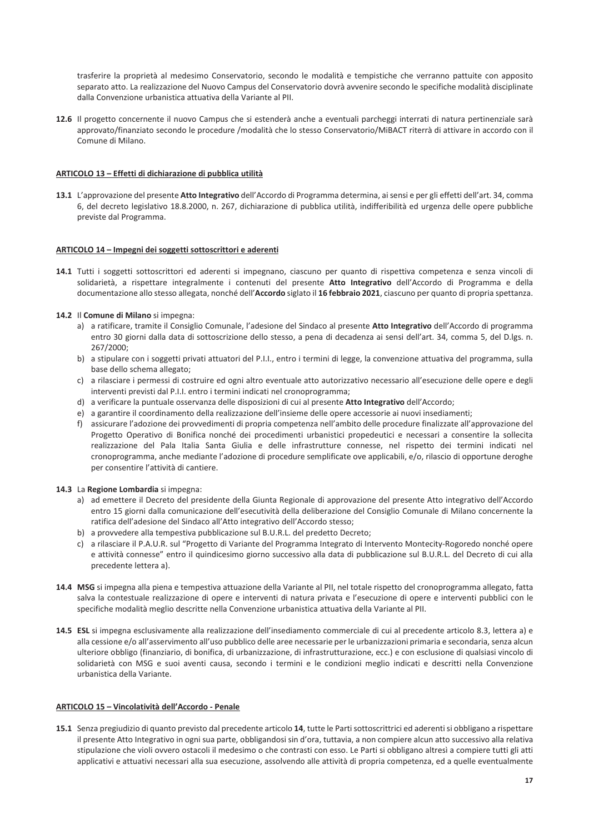trasferire la proprietà al medesimo Conservatorio, secondo le modalità e tempistiche che verranno pattuite con apposito separato atto. La realizzazione del Nuovo Campus del Conservatorio dovrà avvenire secondo le specifiche modalità disciplinate dalla Convenzione urbanistica attuativa della Variante al PII.

12.6 Il progetto concernente il nuovo Campus che si estenderà anche a eventuali parcheggi interrati di natura pertinenziale sarà approvato/finanziato secondo le procedure /modalità che lo stesso Conservatorio/MiBACT riterrà di attivare in accordo con il Comune di Milano.

# ARTICOLO 13 - Effetti di dichiarazione di pubblica utilità

13.1 L'approvazione del presente Atto Integrativo dell'Accordo di Programma determina, ai sensi e per gli effetti dell'art. 34, comma 6, del decreto legislativo 18.8.2000, n. 267, dichiarazione di pubblica utilità, indifferibilità ed urgenza delle opere pubbliche previste dal Programma.

# ARTICOLO 14 - Impegni dei soggetti sottoscrittori e aderenti

14.1 Tutti i soggetti sottoscrittori ed aderenti si impegnano, ciascuno per quanto di rispettiva competenza e senza vincoli di solidarietà, a rispettare integralmente i contenuti del presente Atto Integrativo dell'Accordo di Programma e della documentazione allo stesso allegata, nonché dell'Accordo siglato il 16 febbraio 2021, ciascuno per quanto di propria spettanza.

# 14.2 Il Comune di Milano si impegna:

- a) a ratificare, tramite il Consiglio Comunale, l'adesione del Sindaco al presente Atto Integrativo dell'Accordo di programma entro 30 giorni dalla data di sottoscrizione dello stesso, a pena di decadenza ai sensi dell'art. 34, comma 5, del D.lgs. n. 267/2000:
- b) a stipulare con i soggetti privati attuatori del P.I.I., entro i termini di legge, la convenzione attuativa del programma, sulla base dello schema allegato;
- c) a rilasciare i permessi di costruire ed ogni altro eventuale atto autorizzativo necessario all'esecuzione delle opere e degli interventi previsti dal P.I.I. entro i termini indicati nel cronoprogramma;
- d) a verificare la puntuale osservanza delle disposizioni di cui al presente Atto Integrativo dell'Accordo;
- e) a garantire il coordinamento della realizzazione dell'insieme delle opere accessorie ai nuovi insediamenti;
- f) assicurare l'adozione dei provvedimenti di propria competenza nell'ambito delle procedure finalizzate all'approvazione del Progetto Operativo di Bonifica nonché dei procedimenti urbanistici propedeutici e necessari a consentire la sollecita realizzazione del Pala Italia Santa Giulia e delle infrastrutture connesse, nel rispetto dei termini indicati nel cronoprogramma, anche mediante l'adozione di procedure semplificate ove applicabili, e/o, rilascio di opportune deroghe per consentire l'attività di cantiere.

### 14.3 La Regione Lombardia si impegna:

- a) ad emettere il Decreto del presidente della Giunta Regionale di approvazione del presente Atto integrativo dell'Accordo entro 15 giorni dalla comunicazione dell'esecutività della deliberazione del Consiglio Comunale di Milano concernente la ratifica dell'adesione del Sindaco all'Atto integrativo dell'Accordo stesso;
- b) a provvedere alla tempestiva pubblicazione sul B.U.R.L. del predetto Decreto;
- c) a rilasciare il P.A.U.R. sul "Progetto di Variante del Programma Integrato di Intervento Montecity-Rogoredo nonché opere e attività connesse" entro il quindicesimo giorno successivo alla data di pubblicazione sul B.U.R.L. del Decreto di cui alla precedente lettera a).
- 14.4 MSG si impegna alla piena e tempestiva attuazione della Variante al PII, nel totale rispetto del cronoprogramma allegato, fatta salva la contestuale realizzazione di opere e interventi di natura privata e l'esecuzione di opere e interventi pubblici con le specifiche modalità meglio descritte nella Convenzione urbanistica attuativa della Variante al PII.
- 14.5 ESL si impegna esclusivamente alla realizzazione dell'insediamento commerciale di cui al precedente articolo 8.3, lettera a) e alla cessione e/o all'asservimento all'uso pubblico delle aree necessarie per le urbanizzazioni primaria e secondaria, senza alcun ulteriore obbligo (finanziario, di bonifica, di urbanizzazione, di infrastrutturazione, ecc.) e con esclusione di qualsiasi vincolo di solidarietà con MSG e suoi aventi causa, secondo i termini e le condizioni meglio indicati e descritti nella Convenzione urbanistica della Variante.

# ARTICOLO 15 - Vincolatività dell'Accordo - Penale

15.1 Senza pregiudizio di quanto previsto dal precedente articolo 14, tutte le Parti sottoscrittrici ed aderenti si obbligano a rispettare il presente Atto Integrativo in ogni sua parte, obbligandosi sin d'ora, tuttavia, a non compiere alcun atto successivo alla relativa stipulazione che violi ovvero ostacoli il medesimo o che contrasti con esso. Le Parti si obbligano altresì a compiere tutti gli atti applicativi e attuativi necessari alla sua esecuzione, assolvendo alle attività di propria competenza, ed a quelle eventualmente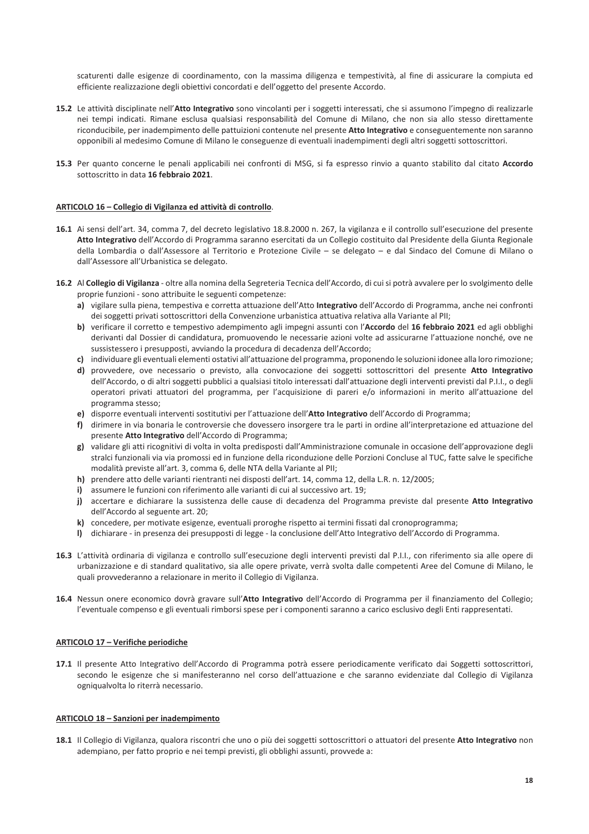scaturenti dalle esigenze di coordinamento, con la massima diligenza e tempestività, al fine di assicurare la compiuta ed efficiente realizzazione degli obiettivi concordati e dell'oggetto del presente Accordo.

- 15.2 Le attività disciplinate nell'Atto Integrativo sono vincolanti per i soggetti interessati, che si assumono l'impegno di realizzarle nei tempi indicati. Rimane esclusa qualsiasi responsabilità del Comune di Milano, che non sia allo stesso direttamente riconducibile, per inadempimento delle pattuizioni contenute nel presente Atto Integrativo e conseguentemente non saranno opponibili al medesimo Comune di Milano le conseguenze di eventuali inadempimenti degli altri soggetti sottoscrittori.
- 15.3 Per quanto concerne le penali applicabili nei confronti di MSG, si fa espresso rinvio a quanto stabilito dal citato Accordo sottoscritto in data 16 febbraio 2021.

### ARTICOLO 16 - Collegio di Vigilanza ed attività di controllo.

- 16.1 Ai sensi dell'art. 34, comma 7, del decreto legislativo 18.8.2000 n. 267, la vigilanza e il controllo sull'esecuzione del presente Atto Integrativo dell'Accordo di Programma saranno esercitati da un Collegio costituito dal Presidente della Giunta Regionale della Lombardia o dall'Assessore al Territorio e Protezione Civile – se delegato – e dal Sindaco del Comune di Milano o dall'Assessore all'Urbanistica se delegato.
- 16.2 Al Collegio di Vigilanza oltre alla nomina della Segreteria Tecnica dell'Accordo, di cui si potrà avvalere per lo svolgimento delle proprie funzioni - sono attribuite le seguenti competenze:
	- a) vigilare sulla piena, tempestiva e corretta attuazione dell'Atto Integrativo dell'Accordo di Programma, anche nei confronti dei soggetti privati sottoscrittori della Convenzione urbanistica attuativa relativa alla Variante al PII;
	- b) verificare il corretto e tempestivo adempimento agli impegni assunti con l'Accordo del 16 febbraio 2021 ed agli obblighi derivanti dal Dossier di candidatura, promuovendo le necessarie azioni volte ad assicurarne l'attuazione nonché, ove ne sussistessero i presupposti, avviando la procedura di decadenza dell'Accordo;
	- c) individuare gli eventuali elementi ostativi all'attuazione del programma, proponendo le soluzioni idonee alla loro rimozione;
	- d) provvedere, ove necessario o previsto, alla convocazione dei soggetti sottoscrittori del presente Atto Integrativo dell'Accordo, o di altri soggetti pubblici a qualsiasi titolo interessati dall'attuazione degli interventi previsti dal P.I.I., o degli operatori privati attuatori del programma, per l'acquisizione di pareri e/o informazioni in merito all'attuazione del programma stesso;
	- e) disporre eventuali interventi sostitutivi per l'attuazione dell'Atto Integrativo dell'Accordo di Programma;
	- f) dirimere in via bonaria le controversie che dovessero insorgere tra le parti in ordine all'interpretazione ed attuazione del presente Atto Integrativo dell'Accordo di Programma;
	- g) validare gli atti ricognitivi di volta in volta predisposti dall'Amministrazione comunale in occasione dell'approvazione degli stralci funzionali via via promossi ed in funzione della riconduzione delle Porzioni Concluse al TUC, fatte salve le specifiche modalità previste all'art. 3, comma 6, delle NTA della Variante al PII;
	- h) prendere atto delle varianti rientranti nei disposti dell'art. 14, comma 12, della L.R. n. 12/2005;
	- i) assumere le funzioni con riferimento alle varianti di cui al successivo art. 19;
	- j) accertare e dichiarare la sussistenza delle cause di decadenza del Programma previste dal presente Atto Integrativo dell'Accordo al seguente art. 20;
	- k) concedere, per motivate esigenze, eventuali proroghe rispetto ai termini fissati dal cronoprogramma;
	- I) dichiarare in presenza dei presupposti di legge la conclusione dell'Atto Integrativo dell'Accordo di Programma.
- 16.3 L'attività ordinaria di vigilanza e controllo sull'esecuzione degli interventi previsti dal P.I.I., con riferimento sia alle opere di urbanizzazione e di standard qualitativo, sia alle opere private, verrà svolta dalle competenti Aree del Comune di Milano, le quali provvederanno a relazionare in merito il Collegio di Vigilanza.
- 16.4 Nessun onere economico dovrà gravare sull'Atto Integrativo dell'Accordo di Programma per il finanziamento del Collegio; l'eventuale compenso e gli eventuali rimborsi spese per i componenti saranno a carico esclusivo degli Enti rappresentati.

### ARTICOLO 17 - Verifiche periodiche

17.1 Il presente Atto Integrativo dell'Accordo di Programma potrà essere periodicamente verificato dai Soggetti sottoscrittori, secondo le esigenze che si manifesteranno nel corso dell'attuazione e che saranno evidenziate dal Collegio di Vigilanza ogniqualvolta lo riterrà necessario.

## ARTICOLO 18 - Sanzioni per inadempimento

18.1 Il Collegio di Vigilanza, qualora riscontri che uno o più dei soggetti sottoscrittori o attuatori del presente Atto Integrativo non adempiano, per fatto proprio e nei tempi previsti, gli obblighi assunti, provvede a: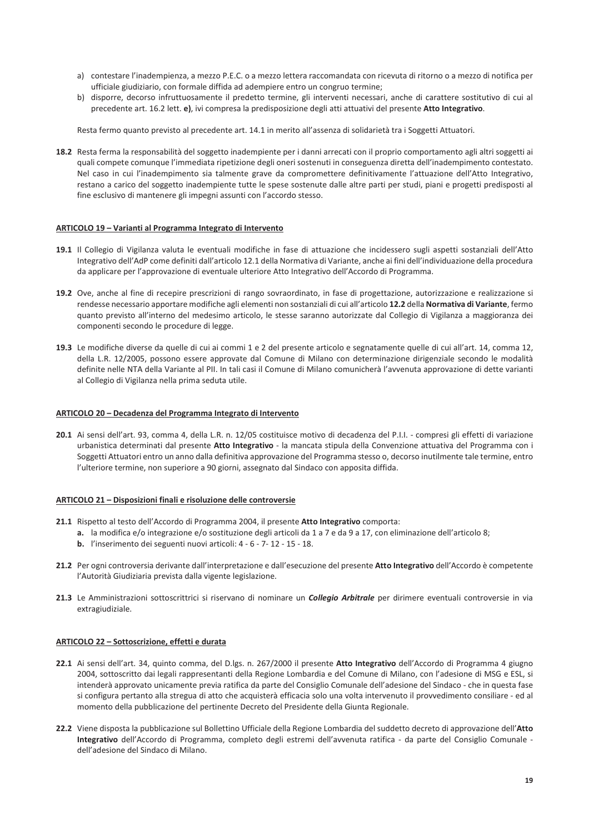- a) contestare l'inadempienza, a mezzo P.E.C. o a mezzo lettera raccomandata con ricevuta di ritorno o a mezzo di notifica per ufficiale giudiziario, con formale diffida ad adempiere entro un congruo termine;
- b) disporre, decorso infruttuosamente il predetto termine, gli interventi necessari, anche di carattere sostitutivo di cui al precedente art. 16.2 lett. e), ivi compresa la predisposizione degli atti attuativi del presente Atto Integrativo.

Resta fermo quanto previsto al precedente art. 14.1 in merito all'assenza di solidarietà tra i Soggetti Attuatori.

18.2 Resta ferma la responsabilità del soggetto inadempiente per i danni arrecati con il proprio comportamento agli altri soggetti ai quali compete comunque l'immediata ripetizione degli oneri sostenuti in conseguenza diretta dell'inadempimento contestato. Nel caso in cui l'inadempimento sia talmente grave da compromettere definitivamente l'attuazione dell'Atto Integrativo, restano a carico del soggetto inadempiente tutte le spese sostenute dalle altre parti per studi, piani e progetti predisposti al fine esclusivo di mantenere gli impegni assunti con l'accordo stesso.

### ARTICOLO 19 - Varianti al Programma Integrato di Intervento

- 19.1 Il Collegio di Vigilanza valuta le eventuali modifiche in fase di attuazione che incidessero sugli aspetti sostanziali dell'Atto Integrativo dell'AdP come definiti dall'articolo 12.1 della Normativa di Variante, anche ai fini dell'individuazione della procedura da applicare per l'approvazione di eventuale ulteriore Atto Integrativo dell'Accordo di Programma.
- 19.2 Ove, anche al fine di recepire prescrizioni di rango sovraordinato, in fase di progettazione, autorizzazione e realizzazione si rendesse necessario apportare modifiche agli elementi non sostanziali di cui all'articolo 12.2 della Normativa di Variante, fermo quanto previsto all'interno del medesimo articolo, le stesse saranno autorizzate dal Collegio di Vigilanza a maggioranza dei componenti secondo le procedure di legge.
- 19.3 Le modifiche diverse da quelle di cui ai commi 1 e 2 del presente articolo e segnatamente quelle di cui all'art. 14. comma 12. della L.R. 12/2005, possono essere approvate dal Comune di Milano con determinazione dirigenziale secondo le modalità definite nelle NTA della Variante al PII. In tali casi il Comune di Milano comunicherà l'avvenuta approvazione di dette varianti al Collegio di Vigilanza nella prima seduta utile.

#### ARTICOLO 20 - Decadenza del Programma Integrato di Intervento

20.1 Ai sensi dell'art. 93, comma 4, della L.R. n. 12/05 costituisce motivo di decadenza del P.I.I. - compresi gli effetti di variazione urbanistica determinati dal presente Atto Integrativo - la mancata stipula della Convenzione attuativa del Programma con i Soggetti Attuatori entro un anno dalla definitiva approvazione del Programma stesso o, decorso inutilmente tale termine, entro l'ulteriore termine, non superiore a 90 giorni, assegnato dal Sindaco con apposita diffida.

### ARTICOLO 21 - Disposizioni finali e risoluzione delle controversie

- 21.1 Rispetto al testo dell'Accordo di Programma 2004, il presente Atto Integrativo comporta:
	- a. la modifica e/o integrazione e/o sostituzione degli articoli da 1 a 7 e da 9 a 17, con eliminazione dell'articolo 8;
		- b. l'inserimento dei seguenti nuovi articoli: 4 6 7- 12 15 18.
- 21.2 Per ogni controversia derivante dall'interpretazione e dall'esecuzione del presente Atto Integrativo dell'Accordo è competente l'Autorità Giudiziaria prevista dalla vigente legislazione.
- 21.3 Le Amministrazioni sottoscrittrici si riservano di nominare un Collegio Arbitrale per dirimere eventuali controversie in via extragiudiziale.

#### ARTICOLO 22 - Sottoscrizione, effetti e durata

- 22.1 Ai sensi dell'art. 34, quinto comma, del D.lgs. n. 267/2000 il presente Atto Integrativo dell'Accordo di Programma 4 giugno 2004, sottoscritto dai legali rappresentanti della Regione Lombardia e del Comune di Milano, con l'adesione di MSG e ESL, si intenderà approvato unicamente previa ratifica da parte del Consiglio Comunale dell'adesione del Sindaco - che in questa fase si configura pertanto alla stregua di atto che acquisterà efficacia solo una volta intervenuto il provvedimento consiliare - ed al momento della pubblicazione del pertinente Decreto del Presidente della Giunta Regionale.
- 22.2 Viene disposta la pubblicazione sul Bollettino Ufficiale della Regione Lombardia del suddetto decreto di approvazione dell'Atto Integrativo dell'Accordo di Programma, completo degli estremi dell'avvenuta ratifica - da parte del Consiglio Comunale dell'adesione del Sindaco di Milano.